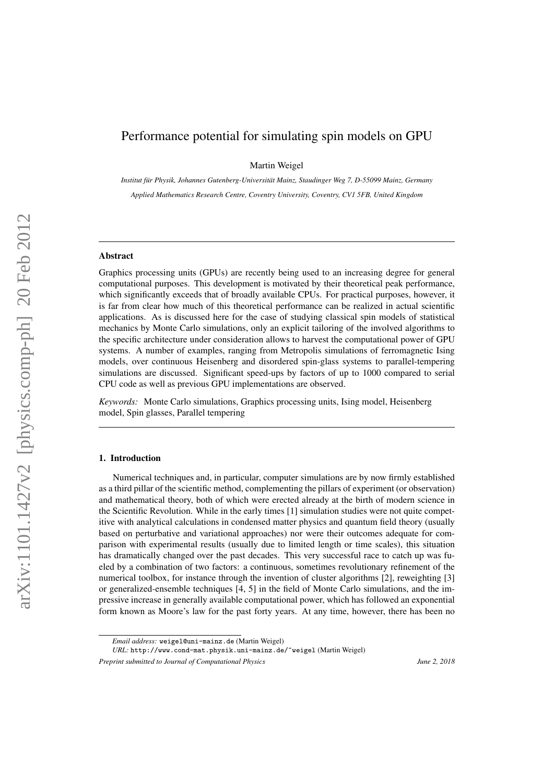# Performance potential for simulating spin models on GPU

Martin Weigel

Institut für Physik, Johannes Gutenberg-Universität Mainz, Staudinger Weg 7, D-55099 Mainz, Germany *Applied Mathematics Research Centre, Coventry University, Coventry, CV1 5FB, United Kingdom*

# Abstract

Graphics processing units (GPUs) are recently being used to an increasing degree for general computational purposes. This development is motivated by their theoretical peak performance, which significantly exceeds that of broadly available CPUs. For practical purposes, however, it is far from clear how much of this theoretical performance can be realized in actual scientific applications. As is discussed here for the case of studying classical spin models of statistical mechanics by Monte Carlo simulations, only an explicit tailoring of the involved algorithms to the specific architecture under consideration allows to harvest the computational power of GPU systems. A number of examples, ranging from Metropolis simulations of ferromagnetic Ising models, over continuous Heisenberg and disordered spin-glass systems to parallel-tempering simulations are discussed. Significant speed-ups by factors of up to 1000 compared to serial CPU code as well as previous GPU implementations are observed.

*Keywords:* Monte Carlo simulations, Graphics processing units, Ising model, Heisenberg model, Spin glasses, Parallel tempering

# 1. Introduction

Numerical techniques and, in particular, computer simulations are by now firmly established as a third pillar of the scientific method, complementing the pillars of experiment (or observation) and mathematical theory, both of which were erected already at the birth of modern science in the Scientific Revolution. While in the early times [1] simulation studies were not quite competitive with analytical calculations in condensed matter physics and quantum field theory (usually based on perturbative and variational approaches) nor were their outcomes adequate for comparison with experimental results (usually due to limited length or time scales), this situation has dramatically changed over the past decades. This very successful race to catch up was fueled by a combination of two factors: a continuous, sometimes revolutionary refinement of the numerical toolbox, for instance through the invention of cluster algorithms [2], reweighting [3] or generalized-ensemble techniques [4, 5] in the field of Monte Carlo simulations, and the impressive increase in generally available computational power, which has followed an exponential form known as Moore's law for the past forty years. At any time, however, there has been no

*Email address:* weigel@uni-mainz.de (Martin Weigel)

*URL:* http://www.cond-mat.physik.uni-mainz.de/~weigel (Martin Weigel)

*Preprint submitted to Journal of Computational Physics June 2, 2018*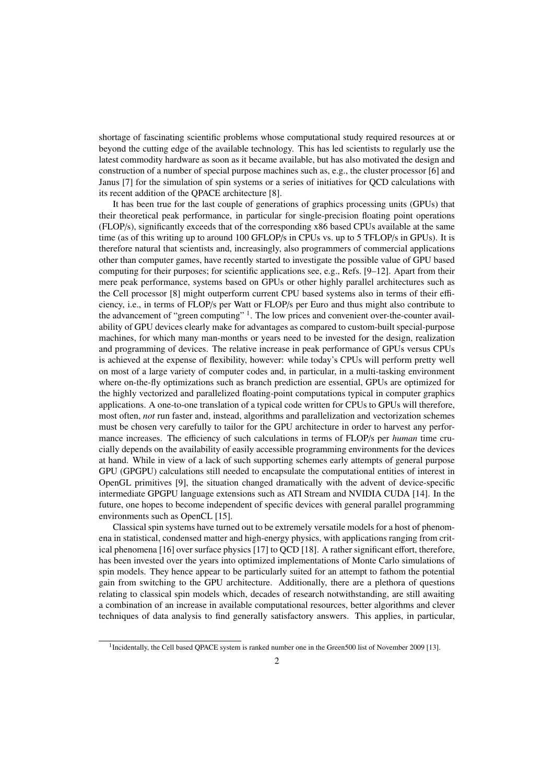shortage of fascinating scientific problems whose computational study required resources at or beyond the cutting edge of the available technology. This has led scientists to regularly use the latest commodity hardware as soon as it became available, but has also motivated the design and construction of a number of special purpose machines such as, e.g., the cluster processor [6] and Janus [7] for the simulation of spin systems or a series of initiatives for QCD calculations with its recent addition of the QPACE architecture [8].

It has been true for the last couple of generations of graphics processing units (GPUs) that their theoretical peak performance, in particular for single-precision floating point operations (FLOP/s), significantly exceeds that of the corresponding x86 based CPUs available at the same time (as of this writing up to around 100 GFLOP/s in CPUs vs. up to 5 TFLOP/s in GPUs). It is therefore natural that scientists and, increasingly, also programmers of commercial applications other than computer games, have recently started to investigate the possible value of GPU based computing for their purposes; for scientific applications see, e.g., Refs. [9–12]. Apart from their mere peak performance, systems based on GPUs or other highly parallel architectures such as the Cell processor [8] might outperform current CPU based systems also in terms of their efficiency, i.e., in terms of FLOP/s per Watt or FLOP/s per Euro and thus might also contribute to the advancement of "green computing" <sup>1</sup>. The low prices and convenient over-the-counter availability of GPU devices clearly make for advantages as compared to custom-built special-purpose machines, for which many man-months or years need to be invested for the design, realization and programming of devices. The relative increase in peak performance of GPUs versus CPUs is achieved at the expense of flexibility, however: while today's CPUs will perform pretty well on most of a large variety of computer codes and, in particular, in a multi-tasking environment where on-the-fly optimizations such as branch prediction are essential, GPUs are optimized for the highly vectorized and parallelized floating-point computations typical in computer graphics applications. A one-to-one translation of a typical code written for CPUs to GPUs will therefore, most often, *not* run faster and, instead, algorithms and parallelization and vectorization schemes must be chosen very carefully to tailor for the GPU architecture in order to harvest any performance increases. The efficiency of such calculations in terms of FLOP/s per *human* time crucially depends on the availability of easily accessible programming environments for the devices at hand. While in view of a lack of such supporting schemes early attempts of general purpose GPU (GPGPU) calculations still needed to encapsulate the computational entities of interest in OpenGL primitives [9], the situation changed dramatically with the advent of device-specific intermediate GPGPU language extensions such as ATI Stream and NVIDIA CUDA [14]. In the future, one hopes to become independent of specific devices with general parallel programming environments such as OpenCL [15].

Classical spin systems have turned out to be extremely versatile models for a host of phenomena in statistical, condensed matter and high-energy physics, with applications ranging from critical phenomena [16] over surface physics [17] to QCD [18]. A rather significant effort, therefore, has been invested over the years into optimized implementations of Monte Carlo simulations of spin models. They hence appear to be particularly suited for an attempt to fathom the potential gain from switching to the GPU architecture. Additionally, there are a plethora of questions relating to classical spin models which, decades of research notwithstanding, are still awaiting a combination of an increase in available computational resources, better algorithms and clever techniques of data analysis to find generally satisfactory answers. This applies, in particular,

<sup>&</sup>lt;sup>1</sup>Incidentally, the Cell based QPACE system is ranked number one in the Green500 list of November 2009 [13].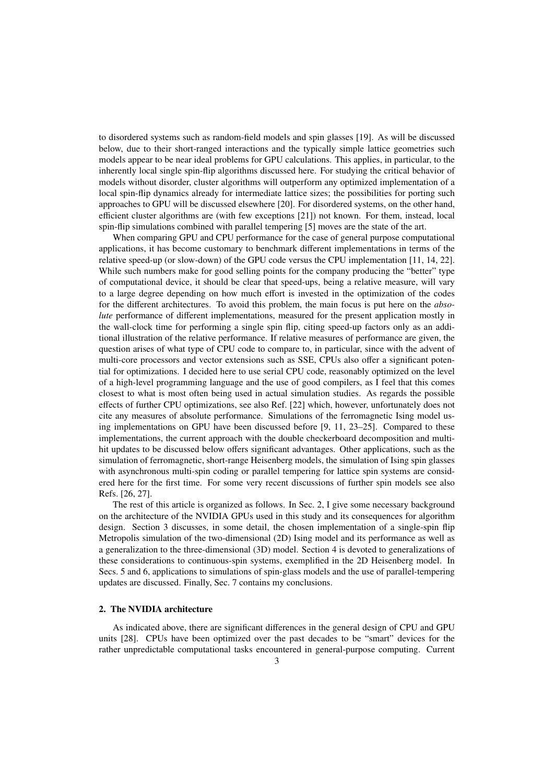to disordered systems such as random-field models and spin glasses [19]. As will be discussed below, due to their short-ranged interactions and the typically simple lattice geometries such models appear to be near ideal problems for GPU calculations. This applies, in particular, to the inherently local single spin-flip algorithms discussed here. For studying the critical behavior of models without disorder, cluster algorithms will outperform any optimized implementation of a local spin-flip dynamics already for intermediate lattice sizes; the possibilities for porting such approaches to GPU will be discussed elsewhere [20]. For disordered systems, on the other hand, efficient cluster algorithms are (with few exceptions [21]) not known. For them, instead, local spin-flip simulations combined with parallel tempering [5] moves are the state of the art.

When comparing GPU and CPU performance for the case of general purpose computational applications, it has become customary to benchmark different implementations in terms of the relative speed-up (or slow-down) of the GPU code versus the CPU implementation [11, 14, 22]. While such numbers make for good selling points for the company producing the "better" type of computational device, it should be clear that speed-ups, being a relative measure, will vary to a large degree depending on how much effort is invested in the optimization of the codes for the different architectures. To avoid this problem, the main focus is put here on the *absolute* performance of different implementations, measured for the present application mostly in the wall-clock time for performing a single spin flip, citing speed-up factors only as an additional illustration of the relative performance. If relative measures of performance are given, the question arises of what type of CPU code to compare to, in particular, since with the advent of multi-core processors and vector extensions such as SSE, CPUs also offer a significant potential for optimizations. I decided here to use serial CPU code, reasonably optimized on the level of a high-level programming language and the use of good compilers, as I feel that this comes closest to what is most often being used in actual simulation studies. As regards the possible effects of further CPU optimizations, see also Ref. [22] which, however, unfortunately does not cite any measures of absolute performance. Simulations of the ferromagnetic Ising model using implementations on GPU have been discussed before [9, 11, 23–25]. Compared to these implementations, the current approach with the double checkerboard decomposition and multihit updates to be discussed below offers significant advantages. Other applications, such as the simulation of ferromagnetic, short-range Heisenberg models, the simulation of Ising spin glasses with asynchronous multi-spin coding or parallel tempering for lattice spin systems are considered here for the first time. For some very recent discussions of further spin models see also Refs. [26, 27].

The rest of this article is organized as follows. In Sec. 2, I give some necessary background on the architecture of the NVIDIA GPUs used in this study and its consequences for algorithm design. Section 3 discusses, in some detail, the chosen implementation of a single-spin flip Metropolis simulation of the two-dimensional (2D) Ising model and its performance as well as a generalization to the three-dimensional (3D) model. Section 4 is devoted to generalizations of these considerations to continuous-spin systems, exemplified in the 2D Heisenberg model. In Secs. 5 and 6, applications to simulations of spin-glass models and the use of parallel-tempering updates are discussed. Finally, Sec. 7 contains my conclusions.

# 2. The NVIDIA architecture

As indicated above, there are significant differences in the general design of CPU and GPU units [28]. CPUs have been optimized over the past decades to be "smart" devices for the rather unpredictable computational tasks encountered in general-purpose computing. Current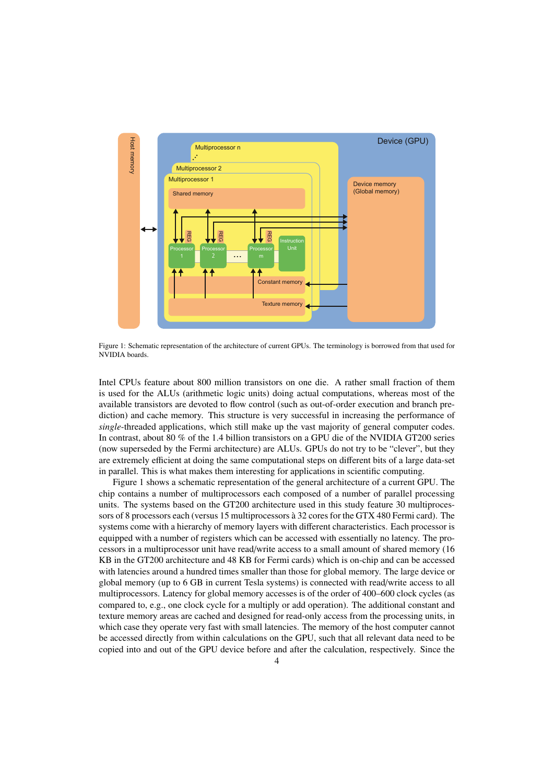

Figure 1: Schematic representation of the architecture of current GPUs. The terminology is borrowed from that used for NVIDIA boards.

Intel CPUs feature about 800 million transistors on one die. A rather small fraction of them is used for the ALUs (arithmetic logic units) doing actual computations, whereas most of the available transistors are devoted to flow control (such as out-of-order execution and branch prediction) and cache memory. This structure is very successful in increasing the performance of *single*-threaded applications, which still make up the vast majority of general computer codes. In contrast, about 80 % of the 1.4 billion transistors on a GPU die of the NVIDIA GT200 series (now superseded by the Fermi architecture) are ALUs. GPUs do not try to be "clever", but they are extremely efficient at doing the same computational steps on different bits of a large data-set in parallel. This is what makes them interesting for applications in scientific computing.

Figure 1 shows a schematic representation of the general architecture of a current GPU. The chip contains a number of multiprocessors each composed of a number of parallel processing units. The systems based on the GT200 architecture used in this study feature 30 multiprocessors of 8 processors each (versus 15 multiprocessors a 32 cores for the GTX 480 Fermi card). The ` systems come with a hierarchy of memory layers with different characteristics. Each processor is equipped with a number of registers which can be accessed with essentially no latency. The processors in a multiprocessor unit have read/write access to a small amount of shared memory (16 KB in the GT200 architecture and 48 KB for Fermi cards) which is on-chip and can be accessed with latencies around a hundred times smaller than those for global memory. The large device or global memory (up to 6 GB in current Tesla systems) is connected with read/write access to all multiprocessors. Latency for global memory accesses is of the order of 400–600 clock cycles (as compared to, e.g., one clock cycle for a multiply or add operation). The additional constant and texture memory areas are cached and designed for read-only access from the processing units, in which case they operate very fast with small latencies. The memory of the host computer cannot be accessed directly from within calculations on the GPU, such that all relevant data need to be copied into and out of the GPU device before and after the calculation, respectively. Since the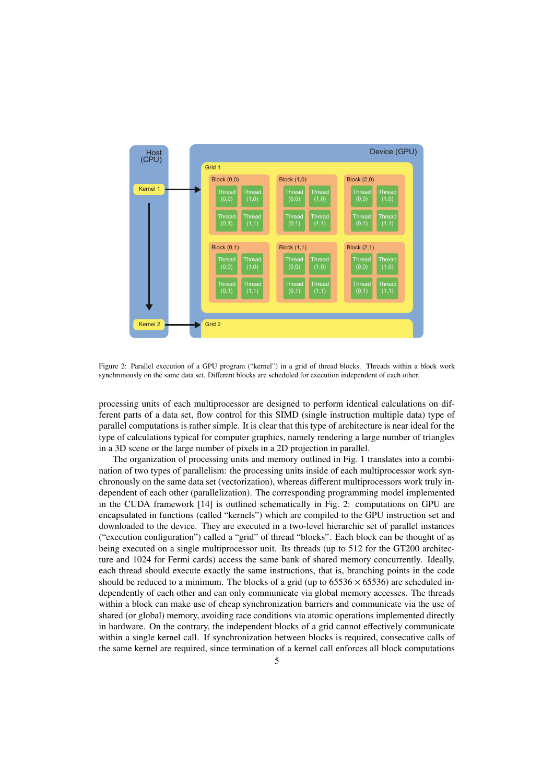

Figure 2: Parallel execution of a GPU program ("kernel") in a grid of thread blocks. Threads within a block work synchronously on the same data set. Different blocks are scheduled for execution independent of each other.

processing units of each multiprocessor are designed to perform identical calculations on different parts of a data set, flow control for this SIMD (single instruction multiple data) type of parallel computations is rather simple. It is clear that this type of architecture is near ideal for the type of calculations typical for computer graphics, namely rendering a large number of triangles in a 3D scene or the large number of pixels in a 2D projection in parallel.

The organization of processing units and memory outlined in Fig. 1 translates into a combination of two types of parallelism: the processing units inside of each multiprocessor work synchronously on the same data set (vectorization), whereas different multiprocessors work truly independent of each other (parallelization). The corresponding programming model implemented in the CUDA framework [14] is outlined schematically in Fig. 2: computations on GPU are encapsulated in functions (called "kernels") which are compiled to the GPU instruction set and downloaded to the device. They are executed in a two-level hierarchic set of parallel instances ("execution configuration") called a "grid" of thread "blocks". Each block can be thought of as being executed on a single multiprocessor unit. Its threads (up to 512 for the GT200 architecture and 1024 for Fermi cards) access the same bank of shared memory concurrently. Ideally, each thread should execute exactly the same instructions, that is, branching points in the code should be reduced to a minimum. The blocks of a grid (up to  $65536 \times 65536$ ) are scheduled independently of each other and can only communicate via global memory accesses. The threads within a block can make use of cheap synchronization barriers and communicate via the use of shared (or global) memory, avoiding race conditions via atomic operations implemented directly in hardware. On the contrary, the independent blocks of a grid cannot effectively communicate within a single kernel call. If synchronization between blocks is required, consecutive calls of the same kernel are required, since termination of a kernel call enforces all block computations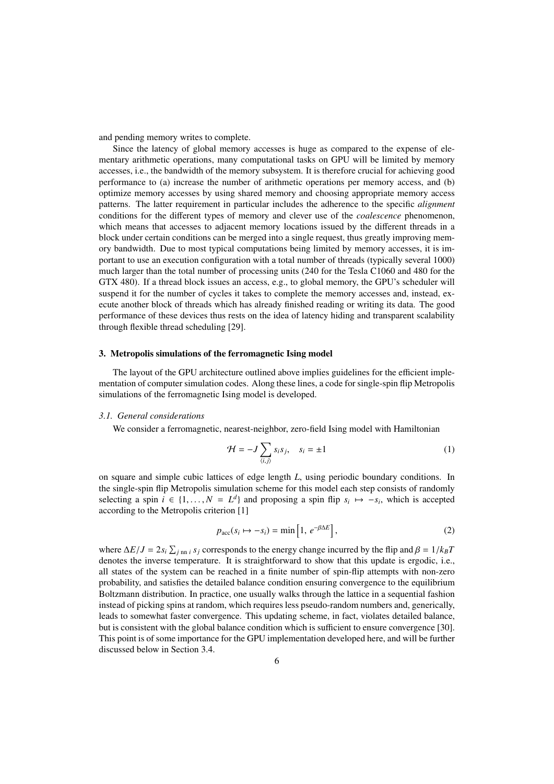and pending memory writes to complete.

Since the latency of global memory accesses is huge as compared to the expense of elementary arithmetic operations, many computational tasks on GPU will be limited by memory accesses, i.e., the bandwidth of the memory subsystem. It is therefore crucial for achieving good performance to (a) increase the number of arithmetic operations per memory access, and (b) optimize memory accesses by using shared memory and choosing appropriate memory access patterns. The latter requirement in particular includes the adherence to the specific *alignment* conditions for the different types of memory and clever use of the *coalescence* phenomenon, which means that accesses to adjacent memory locations issued by the different threads in a block under certain conditions can be merged into a single request, thus greatly improving memory bandwidth. Due to most typical computations being limited by memory accesses, it is important to use an execution configuration with a total number of threads (typically several 1000) much larger than the total number of processing units (240 for the Tesla C1060 and 480 for the GTX 480). If a thread block issues an access, e.g., to global memory, the GPU's scheduler will suspend it for the number of cycles it takes to complete the memory accesses and, instead, execute another block of threads which has already finished reading or writing its data. The good performance of these devices thus rests on the idea of latency hiding and transparent scalability through flexible thread scheduling [29].

# 3. Metropolis simulations of the ferromagnetic Ising model

The layout of the GPU architecture outlined above implies guidelines for the efficient implementation of computer simulation codes. Along these lines, a code for single-spin flip Metropolis simulations of the ferromagnetic Ising model is developed.

# *3.1. General considerations*

We consider a ferromagnetic, nearest-neighbor, zero-field Ising model with Hamiltonian

$$
\mathcal{H} = -J \sum_{\langle i,j \rangle} s_i s_j, \quad s_i = \pm 1 \tag{1}
$$

on square and simple cubic lattices of edge length *L*, using periodic boundary conditions. In the single-spin flip Metropolis simulation scheme for this model each step consists of randomly selecting a spin  $i \in \{1, ..., N = L^d\}$  and proposing a spin flip  $s_i \mapsto -s_i$ , which is accepted according to the Metropolis criterion [1] according to the Metropolis criterion [1]

$$
p_{\rm acc}(s_i \mapsto -s_i) = \min\left[1, \, e^{-\beta \Delta E}\right],\tag{2}
$$

where  $\Delta E/J = 2s_i \sum_{j \text{nn } i} s_j$  corresponds to the energy change incurred by the flip and  $\beta = 1/k_B T$ <br>denotes the inverse temperature. It is straightforward to show that this undate is ergodic, i.e. denotes the inverse temperature. It is straightforward to show that this update is ergodic, i.e., all states of the system can be reached in a finite number of spin-flip attempts with non-zero probability, and satisfies the detailed balance condition ensuring convergence to the equilibrium Boltzmann distribution. In practice, one usually walks through the lattice in a sequential fashion instead of picking spins at random, which requires less pseudo-random numbers and, generically, leads to somewhat faster convergence. This updating scheme, in fact, violates detailed balance, but is consistent with the global balance condition which is sufficient to ensure convergence [30]. This point is of some importance for the GPU implementation developed here, and will be further discussed below in Section 3.4.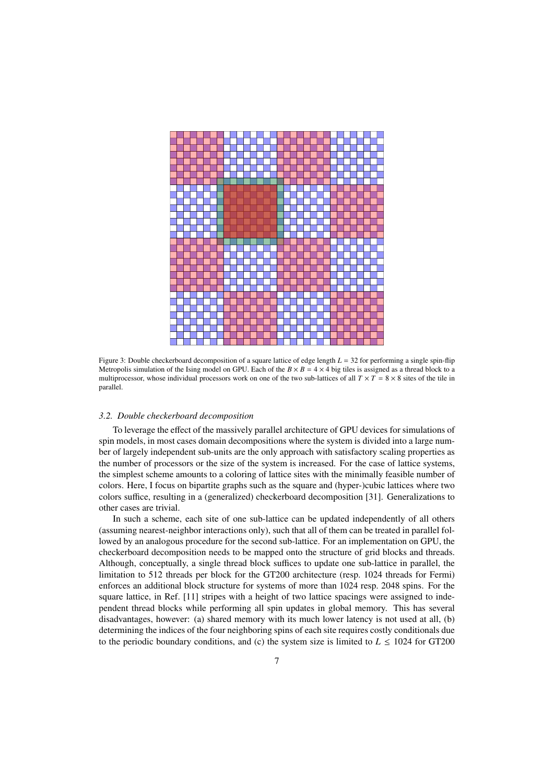

Figure 3: Double checkerboard decomposition of a square lattice of edge length  $L = 32$  for performing a single spin-flip Metropolis simulation of the Ising model on GPU. Each of the  $B \times B = 4 \times 4$  big tiles is assigned as a thread block to a multiprocessor, whose individual processors work on one of the two sub-lattices of all  $T \times T = 8 \times 8$  sites of the tile in parallel.

### *3.2. Double checkerboard decomposition*

To leverage the effect of the massively parallel architecture of GPU devices for simulations of spin models, in most cases domain decompositions where the system is divided into a large number of largely independent sub-units are the only approach with satisfactory scaling properties as the number of processors or the size of the system is increased. For the case of lattice systems, the simplest scheme amounts to a coloring of lattice sites with the minimally feasible number of colors. Here, I focus on bipartite graphs such as the square and (hyper-)cubic lattices where two colors suffice, resulting in a (generalized) checkerboard decomposition [31]. Generalizations to other cases are trivial.

In such a scheme, each site of one sub-lattice can be updated independently of all others (assuming nearest-neighbor interactions only), such that all of them can be treated in parallel followed by an analogous procedure for the second sub-lattice. For an implementation on GPU, the checkerboard decomposition needs to be mapped onto the structure of grid blocks and threads. Although, conceptually, a single thread block suffices to update one sub-lattice in parallel, the limitation to 512 threads per block for the GT200 architecture (resp. 1024 threads for Fermi) enforces an additional block structure for systems of more than 1024 resp. 2048 spins. For the square lattice, in Ref. [11] stripes with a height of two lattice spacings were assigned to independent thread blocks while performing all spin updates in global memory. This has several disadvantages, however: (a) shared memory with its much lower latency is not used at all, (b) determining the indices of the four neighboring spins of each site requires costly conditionals due to the periodic boundary conditions, and (c) the system size is limited to  $L \le 1024$  for GT200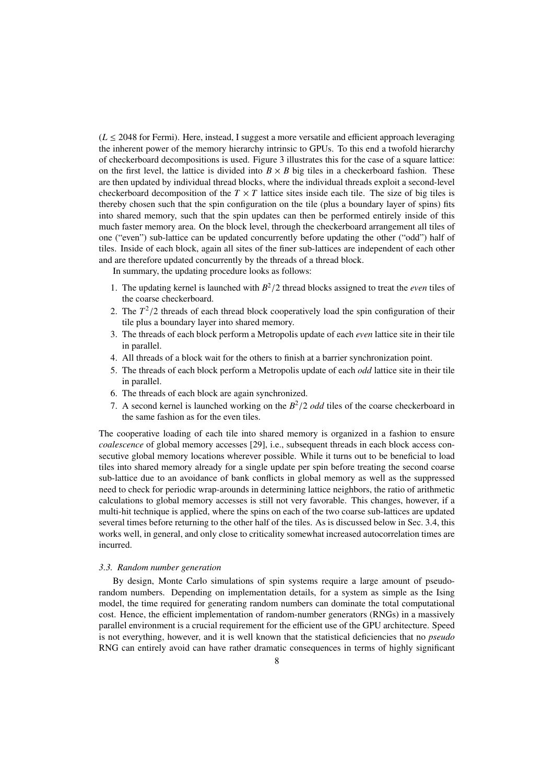$(L \le 2048$  for Fermi). Here, instead, I suggest a more versatile and efficient approach leveraging the inherent power of the memory hierarchy intrinsic to GPUs. To this end a twofold hierarchy of checkerboard decompositions is used. Figure 3 illustrates this for the case of a square lattice: on the first level, the lattice is divided into  $B \times B$  big tiles in a checkerboard fashion. These are then updated by individual thread blocks, where the individual threads exploit a second-level checkerboard decomposition of the  $T \times T$  lattice sites inside each tile. The size of big tiles is thereby chosen such that the spin configuration on the tile (plus a boundary layer of spins) fits into shared memory, such that the spin updates can then be performed entirely inside of this much faster memory area. On the block level, through the checkerboard arrangement all tiles of one ("even") sub-lattice can be updated concurrently before updating the other ("odd") half of tiles. Inside of each block, again all sites of the finer sub-lattices are independent of each other and are therefore updated concurrently by the threads of a thread block.

In summary, the updating procedure looks as follows:

- 1. The updating kernel is launched with  $B^2/2$  thread blocks assigned to treat the *even* tiles of the coarse checkerboard the coarse checkerboard.
- 2. The  $T^2/2$  threads of each thread block cooperatively load the spin configuration of their tile plus a boundary layer into shared memory tile plus a boundary layer into shared memory.
- 3. The threads of each block perform a Metropolis update of each *even* lattice site in their tile in parallel.
- 4. All threads of a block wait for the others to finish at a barrier synchronization point.
- 5. The threads of each block perform a Metropolis update of each *odd* lattice site in their tile in parallel.
- 6. The threads of each block are again synchronized.
- 7. A second kernel is launched working on the  $B^2/2$  *odd* tiles of the coarse checkerboard in the same fashion as for the even tiles the same fashion as for the even tiles.

The cooperative loading of each tile into shared memory is organized in a fashion to ensure *coalescence* of global memory accesses [29], i.e., subsequent threads in each block access consecutive global memory locations wherever possible. While it turns out to be beneficial to load tiles into shared memory already for a single update per spin before treating the second coarse sub-lattice due to an avoidance of bank conflicts in global memory as well as the suppressed need to check for periodic wrap-arounds in determining lattice neighbors, the ratio of arithmetic calculations to global memory accesses is still not very favorable. This changes, however, if a multi-hit technique is applied, where the spins on each of the two coarse sub-lattices are updated several times before returning to the other half of the tiles. As is discussed below in Sec. 3.4, this works well, in general, and only close to criticality somewhat increased autocorrelation times are incurred.

# *3.3. Random number generation*

By design, Monte Carlo simulations of spin systems require a large amount of pseudorandom numbers. Depending on implementation details, for a system as simple as the Ising model, the time required for generating random numbers can dominate the total computational cost. Hence, the efficient implementation of random-number generators (RNGs) in a massively parallel environment is a crucial requirement for the efficient use of the GPU architecture. Speed is not everything, however, and it is well known that the statistical deficiencies that no *pseudo* RNG can entirely avoid can have rather dramatic consequences in terms of highly significant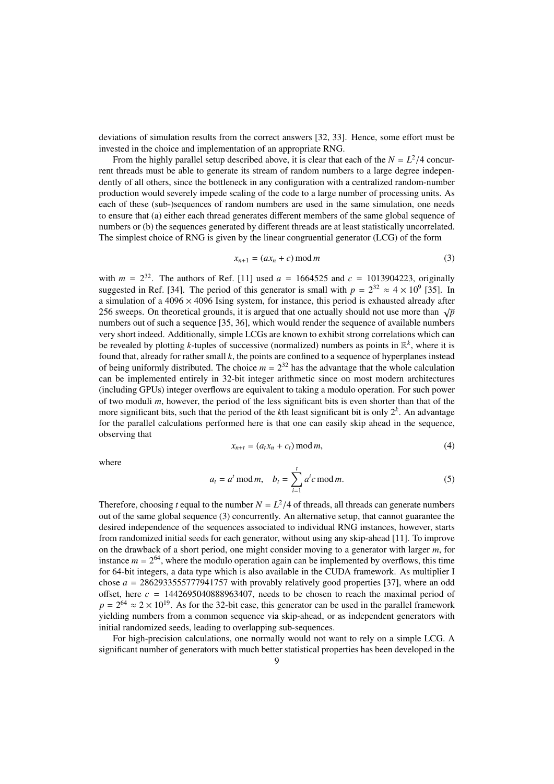deviations of simulation results from the correct answers [32, 33]. Hence, some effort must be invested in the choice and implementation of an appropriate RNG.

From the highly parallel setup described above, it is clear that each of the  $N = L^2/4$  concur-<br>threads must be able to generate its stream of random numbers to a large degree indepenrent threads must be able to generate its stream of random numbers to a large degree independently of all others, since the bottleneck in any configuration with a centralized random-number production would severely impede scaling of the code to a large number of processing units. As each of these (sub-)sequences of random numbers are used in the same simulation, one needs to ensure that (a) either each thread generates different members of the same global sequence of numbers or (b) the sequences generated by different threads are at least statistically uncorrelated. The simplest choice of RNG is given by the linear congruential generator (LCG) of the form

$$
x_{n+1} = (ax_n + c) \bmod m \tag{3}
$$

with  $m = 2^{32}$ . The authors of Ref. [11] used  $a = 1664525$  and  $c = 1013904223$ , originally suggested in Ref. [34]. The period of this generator is small with  $p = 2^{32} \approx 4 \times 10^9$  [35]. In a simulation of a  $4096 \times 4096$  Ising system, for instance, this period is exhausted already after 256 sweeps. On theoretical grounds, it is argued that one actually should not use more than  $\sqrt{p}$ numbers out of such a sequence [35, 36], which would render the sequence of available numbers very short indeed. Additionally, simple LCGs are known to exhibit strong correlations which can be revealed by plotting *k*-tuples of successive (normalized) numbers as points in  $\mathbb{R}^k$ , where it is found that, already for rather small *k*, the points are confined to a sequence of hyperplanes instead of being uniformly distributed. The choice  $m = 2^{32}$  has the advantage that the whole calculation can be implemented entirely in 32-bit integer arithmetic since on most modern architectures (including GPUs) integer overflows are equivalent to taking a modulo operation. For such power of two moduli *m*, however, the period of the less significant bits is even shorter than that of the more significant bits, such that the period of the *k*th least significant bit is only 2*<sup>k</sup>* . An advantage for the parallel calculations performed here is that one can easily skip ahead in the sequence, observing that

$$
x_{n+t} = (a_t x_n + c_t) \operatorname{mod} m,\tag{4}
$$

where

$$
a_t = a^t \mod m, \quad b_t = \sum_{i=1}^t a^i c \mod m. \tag{5}
$$

Therefore, choosing *t* equal to the number  $N = L^2/4$  of threads, all threads can generate numbers out of the same global sequence (3) concurrently. An alternative setup, that cannot quarantee the out of the same global sequence (3) concurrently. An alternative setup, that cannot guarantee the desired independence of the sequences associated to individual RNG instances, however, starts from randomized initial seeds for each generator, without using any skip-ahead [11]. To improve on the drawback of a short period, one might consider moving to a generator with larger *m*, for instance  $m = 2^{64}$ , where the modulo operation again can be implemented by overflows, this time for 64-bit integers, a data type which is also available in the CUDA framework. As multiplier I chose  $a = 2862933555777941757$  with provably relatively good properties [37], where an odd offset, here  $c = 1442695040888963407$ , needs to be chosen to reach the maximal period of  $p = 2^{64} \approx 2 \times 10^{19}$ . As for the 32-bit case, this generator can be used in the parallel framework yielding numbers from a common sequence via skip-ahead, or as independent generators with initial randomized seeds, leading to overlapping sub-sequences.

For high-precision calculations, one normally would not want to rely on a simple LCG. A significant number of generators with much better statistical properties has been developed in the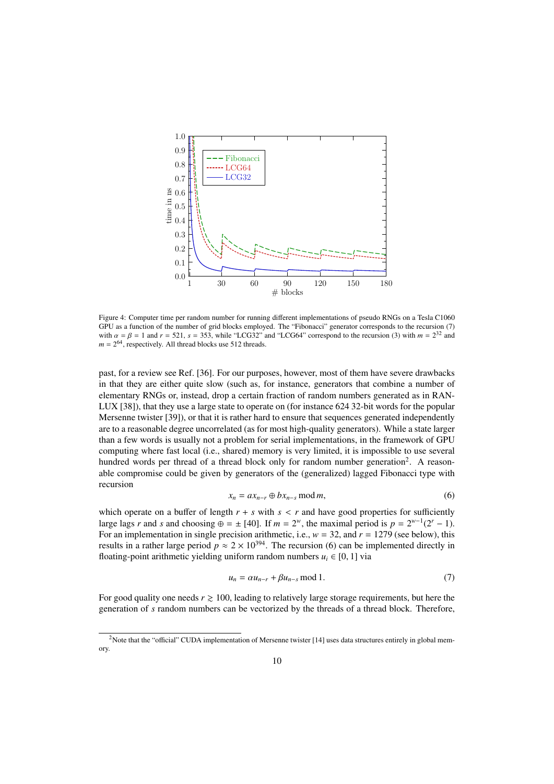

Figure 4: Computer time per random number for running different implementations of pseudo RNGs on a Tesla C1060 GPU as a function of the number of grid blocks employed. The "Fibonacci" generator corresponds to the recursion (7) with  $\alpha = \beta = 1$  and  $r = 521$ ,  $s = 353$ , while "LCG32" and "LCG64" correspond to the recursion (3) with  $m = 2^{32}$  and  $m = 2^{64}$  respectively. All thread blocks use 512 threads  $m = 2^{64}$ , respectively. All thread blocks use 512 threads.

past, for a review see Ref. [36]. For our purposes, however, most of them have severe drawbacks in that they are either quite slow (such as, for instance, generators that combine a number of elementary RNGs or, instead, drop a certain fraction of random numbers generated as in RAN-LUX [38]), that they use a large state to operate on (for instance 624 32-bit words for the popular Mersenne twister [39]), or that it is rather hard to ensure that sequences generated independently are to a reasonable degree uncorrelated (as for most high-quality generators). While a state larger than a few words is usually not a problem for serial implementations, in the framework of GPU computing where fast local (i.e., shared) memory is very limited, it is impossible to use several hundred words per thread of a thread block only for random number generation<sup>2</sup>. A reasonable compromise could be given by generators of the (generalized) lagged Fibonacci type with recursion

$$
x_n = a x_{n-r} \oplus b x_{n-s} \bmod m, \tag{6}
$$

which operate on a buffer of length  $r + s$  with  $s < r$  and have good properties for sufficiently large lags *r* and *s* and choosing  $\oplus = \pm$  [40]. If  $m = 2^w$ , the maximal period is  $p = 2^{w-1}(2^r - 1)$ . For an implementation in single precision arithmetic, i.e.,  $w = 32$ , and  $r = 1279$  (see below), this results in a rather large period  $p \approx 2 \times 10^{394}$ . The recursion (6) can be implemented directly in floating-point arithmetic yielding uniform random numbers  $u_i \in [0, 1]$  via

$$
u_n = \alpha u_{n-r} + \beta u_{n-s} \mod 1. \tag{7}
$$

For good quality one needs  $r \ge 100$ , leading to relatively large storage requirements, but here the generation of *s* random numbers can be vectorized by the threads of a thread block. Therefore,

<sup>&</sup>lt;sup>2</sup>Note that the "official" CUDA implementation of Mersenne twister [14] uses data structures entirely in global memory.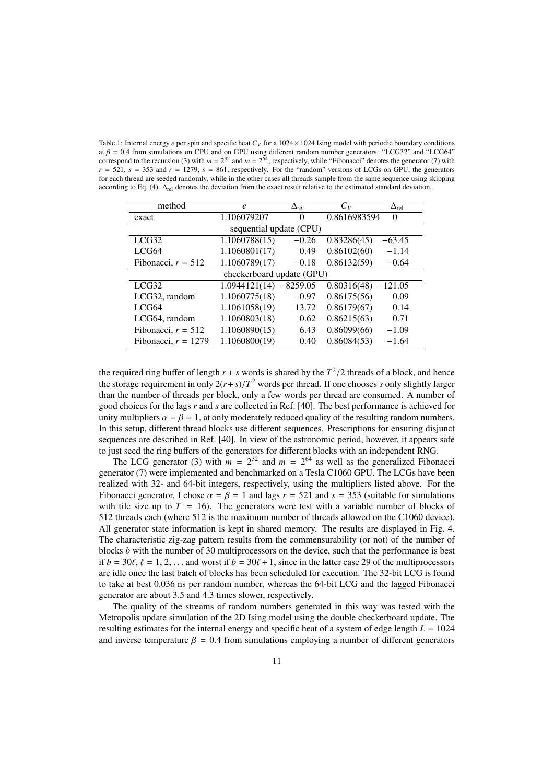Table 1: Internal energy *e* per spin and specific heat  $C_V$  for a 1024  $\times$  1024 Ising model with periodic boundary conditions at  $\beta = 0.4$  from simulations on CPU and on GPU using different random number generators. "LCG32" and "LCG64"<br>correspond to the recursion (3) with  $m = 2^{32}$  and  $m = 2^{64}$ , respectively, while "Fibonacci" denotes the gen  $r = 521$ ,  $s = 353$  and  $r = 1279$ ,  $s = 861$ , respectively. For the "random" versions of LCGs on GPU, the generators for each thread are seeded randomly, while in the other cases all threads sample from the same sequence using skipping according to Eq. (4). ∆rel denotes the deviation from the exact result relative to the estimated standard deviation.

| method                    | $\ell$                   | $\Delta_{\rm rel}$ | $C_V$        | $\Delta_{\rm rel}$ |  |  |
|---------------------------|--------------------------|--------------------|--------------|--------------------|--|--|
| exact                     | 1.106079207              | 0                  | 0.8616983594 | $\Omega$           |  |  |
| sequential update (CPU)   |                          |                    |              |                    |  |  |
| LCG32                     | 1.1060788(15)            | $-0.26$            | 0.83286(45)  | $-63.45$           |  |  |
| LCG64                     | 1.1060801(17)            | 0.49               | 0.86102(60)  | $-1.14$            |  |  |
| Fibonacci, $r = 512$      | 1.1060789(17)            | $-0.18$            | 0.86132(59)  | $-0.64$            |  |  |
| checkerboard update (GPU) |                          |                    |              |                    |  |  |
| LCG32                     | $1.0944121(14) -8259.05$ |                    | 0.80316(48)  | $-121.05$          |  |  |
| LCG32, random             | 1.1060775(18)            | $-0.97$            | 0.86175(56)  | 0.09               |  |  |
| LCG64                     | 1.1061058(19)            | 13.72              | 0.86179(67)  | 0.14               |  |  |
| LCG64, random             | 1.1060803(18)            | 0.62               | 0.86215(63)  | 0.71               |  |  |
| Fibonacci, $r = 512$      | 1.1060890(15)            | 6.43               | 0.86099(66)  | $-1.09$            |  |  |
| Fibonacci, $r = 1279$     | 1.1060800(19)            | 0.40               | 0.86084(53)  | $-1.64$            |  |  |
|                           |                          |                    |              |                    |  |  |

the required ring buffer of length  $r + s$  words is shared by the  $T^2/2$  threads of a block, and hence<br>the storage requirement in only  $2(r+s)/T^2$  words per thread. If one chooses s only slightly larger the storage requirement in only  $2(r+s)/T^2$  words per thread. If one chooses *s* only slightly larger<br>than the number of threads per block, only a few words per thread are consumed. A number of than the number of threads per block, only a few words per thread are consumed. A number of good choices for the lags *r* and *s* are collected in Ref. [40]. The best performance is achieved for unity multipliers  $\alpha = \beta = 1$ , at only moderately reduced quality of the resulting random numbers. In this setup, different thread blocks use different sequences. Prescriptions for ensuring disjunct sequences are described in Ref. [40]. In view of the astronomic period, however, it appears safe to just seed the ring buffers of the generators for different blocks with an independent RNG.

The LCG generator (3) with  $m = 2^{32}$  and  $m = 2^{64}$  as well as the generalized Fibonacci generator (7) were implemented and benchmarked on a Tesla C1060 GPU. The LCGs have been realized with 32- and 64-bit integers, respectively, using the multipliers listed above. For the Fibonacci generator, I chose  $\alpha = \beta = 1$  and lags  $r = 521$  and  $s = 353$  (suitable for simulations with tile size up to  $T = 16$ ). The generators were test with a variable number of blocks of 512 threads each (where 512 is the maximum number of threads allowed on the C1060 device). All generator state information is kept in shared memory. The results are displayed in Fig. 4. The characteristic zig-zag pattern results from the commensurability (or not) of the number of blocks *b* with the number of 30 multiprocessors on the device, such that the performance is best if  $b = 30\ell, \ell = 1, 2, \ldots$  and worst if  $b = 30\ell + 1$ , since in the latter case 29 of the multiprocessors are idle once the last batch of blocks has been scheduled for execution. The 32-bit LCG is found to take at best 0.036 ns per random number, whereas the 64-bit LCG and the lagged Fibonacci generator are about 3.5 and 4.3 times slower, respectively.

The quality of the streams of random numbers generated in this way was tested with the Metropolis update simulation of the 2D Ising model using the double checkerboard update. The resulting estimates for the internal energy and specific heat of a system of edge length  $L = 1024$ and inverse temperature  $\beta = 0.4$  from simulations employing a number of different generators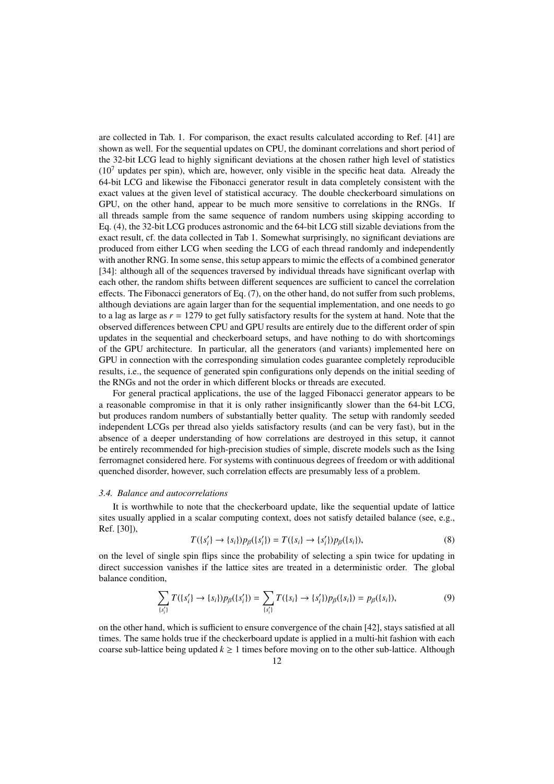are collected in Tab. 1. For comparison, the exact results calculated according to Ref. [41] are shown as well. For the sequential updates on CPU, the dominant correlations and short period of the 32-bit LCG lead to highly significant deviations at the chosen rather high level of statistics  $(10<sup>7</sup>$  updates per spin), which are, however, only visible in the specific heat data. Already the 64-bit LCG and likewise the Fibonacci generator result in data completely consistent with the exact values at the given level of statistical accuracy. The double checkerboard simulations on GPU, on the other hand, appear to be much more sensitive to correlations in the RNGs. If all threads sample from the same sequence of random numbers using skipping according to Eq. (4), the 32-bit LCG produces astronomic and the 64-bit LCG still sizable deviations from the exact result, cf. the data collected in Tab 1. Somewhat surprisingly, no significant deviations are produced from either LCG when seeding the LCG of each thread randomly and independently with another RNG. In some sense, this setup appears to mimic the effects of a combined generator [34]: although all of the sequences traversed by individual threads have significant overlap with each other, the random shifts between different sequences are sufficient to cancel the correlation effects. The Fibonacci generators of Eq. (7), on the other hand, do not suffer from such problems, although deviations are again larger than for the sequential implementation, and one needs to go to a lag as large as  $r = 1279$  to get fully satisfactory results for the system at hand. Note that the observed differences between CPU and GPU results are entirely due to the different order of spin updates in the sequential and checkerboard setups, and have nothing to do with shortcomings of the GPU architecture. In particular, all the generators (and variants) implemented here on GPU in connection with the corresponding simulation codes guarantee completely reproducible results, i.e., the sequence of generated spin configurations only depends on the initial seeding of the RNGs and not the order in which different blocks or threads are executed.

For general practical applications, the use of the lagged Fibonacci generator appears to be a reasonable compromise in that it is only rather insignificantly slower than the 64-bit LCG, but produces random numbers of substantially better quality. The setup with randomly seeded independent LCGs per thread also yields satisfactory results (and can be very fast), but in the absence of a deeper understanding of how correlations are destroyed in this setup, it cannot be entirely recommended for high-precision studies of simple, discrete models such as the Ising ferromagnet considered here. For systems with continuous degrees of freedom or with additional quenched disorder, however, such correlation effects are presumably less of a problem.

# *3.4. Balance and autocorrelations*

It is worthwhile to note that the checkerboard update, like the sequential update of lattice sites usually applied in a scalar computing context, does not satisfy detailed balance (see, e.g., Ref. [30]),

$$
T({s'_i}) \to {s_i})p_{\beta}({s'_i}) = T({s_i}) \to {s'_i})p_{\beta}({s_i}),
$$
\n(8)

on the level of single spin flips since the probability of selecting a spin twice for updating in direct succession vanishes if the lattice sites are treated in a deterministic order. The global balance condition,

$$
\sum_{\{s'_i\}} T(\{s'_i\} \to \{s_i\}) p_{\beta}(\{s'_i\}) = \sum_{\{s'_i\}} T(\{s_i\} \to \{s'_i\}) p_{\beta}(\{s_i\}) = p_{\beta}(\{s_i\}),
$$
(9)

on the other hand, which is sufficient to ensure convergence of the chain [42], stays satisfied at all times. The same holds true if the checkerboard update is applied in a multi-hit fashion with each coarse sub-lattice being updated  $k \ge 1$  times before moving on to the other sub-lattice. Although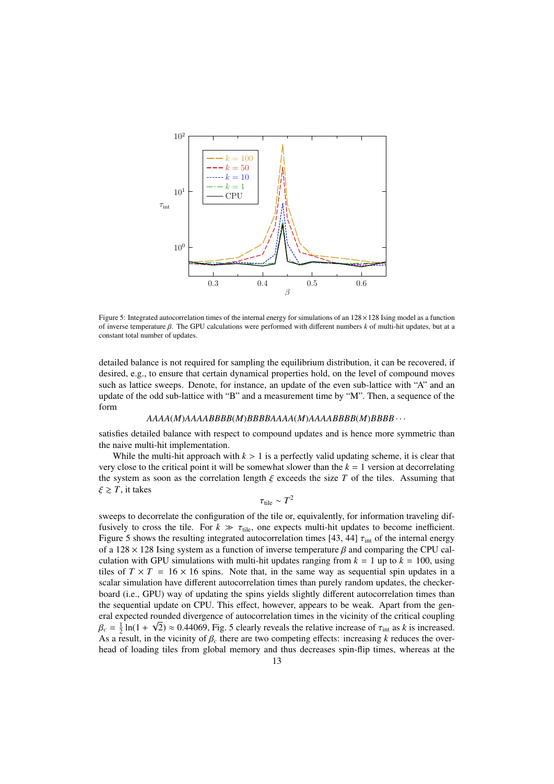

Figure 5: Integrated autocorrelation times of the internal energy for simulations of an 128×128 Ising model as a function of inverse temperature β. The GPU calculations were performed with different numbers *<sup>k</sup>* of multi-hit updates, but at a constant total number of updates.

detailed balance is not required for sampling the equilibrium distribution, it can be recovered, if desired, e.g., to ensure that certain dynamical properties hold, on the level of compound moves such as lattice sweeps. Denote, for instance, an update of the even sub-lattice with "A" and an update of the odd sub-lattice with "B" and a measurement time by "M". Then, a sequence of the form

# *AAAA*(*M*)*AAAABBBB*(*M*)*BBBBAAAA*(*M*)*AAAABBBB*(*M*)*BBBB* · · ·

satisfies detailed balance with respect to compound updates and is hence more symmetric than the naive multi-hit implementation.

While the multi-hit approach with  $k > 1$  is a perfectly valid updating scheme, it is clear that very close to the critical point it will be somewhat slower than the  $k = 1$  version at decorrelating the system as soon as the correlation length  $\xi$  exceeds the size T of the tiles. Assuming that  $\xi \geq T$ , it takes

 $\tau_{\text{tile}} \sim T^2$ 

sweeps to decorrelate the configuration of the tile or, equivalently, for information traveling diffusively to cross the tile. For  $k \gg \tau_{\text{tile}}$ , one expects multi-hit updates to become inefficient. Figure 5 shows the resulting integrated autocorrelation times [43, 44]  $\tau_{int}$  of the internal energy of a  $128 \times 128$  Ising system as a function of inverse temperature  $\beta$  and comparing the CPU calculation with GPU simulations with multi-hit updates ranging from  $k = 1$  up to  $k = 100$ , using tiles of  $T \times T = 16 \times 16$  spins. Note that, in the same way as sequential spin updates in a scalar simulation have different autocorrelation times than purely random updates, the checkerboard (i.e., GPU) way of updating the spins yields slightly different autocorrelation times than the sequential update on CPU. This effect, however, appears to be weak. Apart from the general expected rounded divergence of autocorrelation times in the vicinity of the critical coupling  $\beta_c = \frac{1}{2} \ln(1 + \sqrt{2}) \approx 0.44069$ , Fig. 5 clearly reveals the relative increase of  $\tau_{\text{int}}$  as *k* is increased. As a result, in the vicinity of  $\beta_c$  there are two competing effects: increasing *k* reduces the overhead of loading tiles from global memory and thus decreases spin-flip times, whereas at the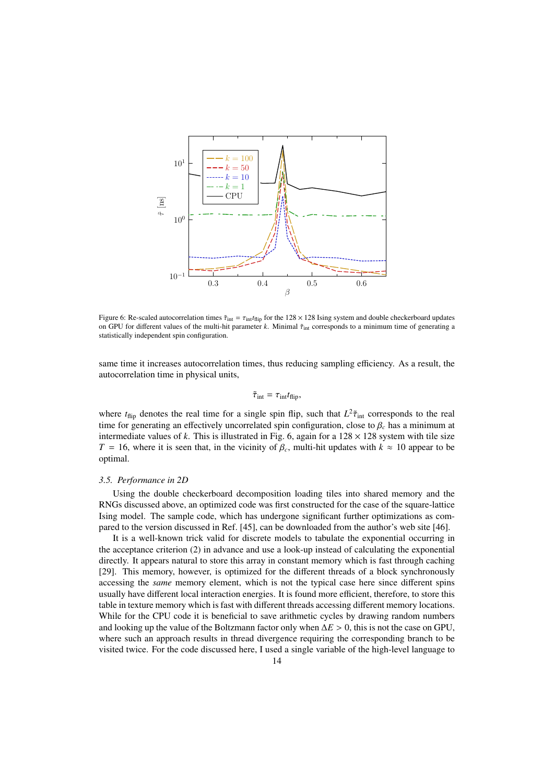

Figure 6: Re-scaled autocorrelation times  $\tilde{\tau}_{int} = \tau_{int} t_{flip}$  for the  $128 \times 128$  Ising system and double checkerboard updates on GPU for different values of the multi-hit parameter *k*. Minimal  $\tilde{\tau}_{int}$  corresponds to a minimum time of generating a statistically independent spin configuration.

same time it increases autocorrelation times, thus reducing sampling efficiency. As a result, the autocorrelation time in physical units,

$$
\tilde{\tau}_{\rm int}=\tau_{\rm int}t_{\rm flip},
$$

where  $t_{\text{flip}}$  denotes the real time for a single spin flip, such that  $L^2 \tilde{\tau}_{\text{int}}$  corresponds to the real time for generating an effectively uncorrelated spin configuration close to  $\beta$ , has a minimum at time for generating an effectively uncorrelated spin configuration, close to <sup>β</sup>*<sup>c</sup>* has a minimum at intermediate values of  $k$ . This is illustrated in Fig. 6, again for a  $128 \times 128$  system with tile size *T* = 16, where it is seen that, in the vicinity of  $\beta_c$ , multi-hit updates with  $k \approx 10$  appear to be optimal.

#### *3.5. Performance in 2D*

Using the double checkerboard decomposition loading tiles into shared memory and the RNGs discussed above, an optimized code was first constructed for the case of the square-lattice Ising model. The sample code, which has undergone significant further optimizations as compared to the version discussed in Ref. [45], can be downloaded from the author's web site [46].

It is a well-known trick valid for discrete models to tabulate the exponential occurring in the acceptance criterion (2) in advance and use a look-up instead of calculating the exponential directly. It appears natural to store this array in constant memory which is fast through caching [29]. This memory, however, is optimized for the different threads of a block synchronously accessing the *same* memory element, which is not the typical case here since different spins usually have different local interaction energies. It is found more efficient, therefore, to store this table in texture memory which is fast with different threads accessing different memory locations. While for the CPU code it is beneficial to save arithmetic cycles by drawing random numbers and looking up the value of the Boltzmann factor only when <sup>∆</sup>*<sup>E</sup>* > 0, this is not the case on GPU, where such an approach results in thread divergence requiring the corresponding branch to be visited twice. For the code discussed here, I used a single variable of the high-level language to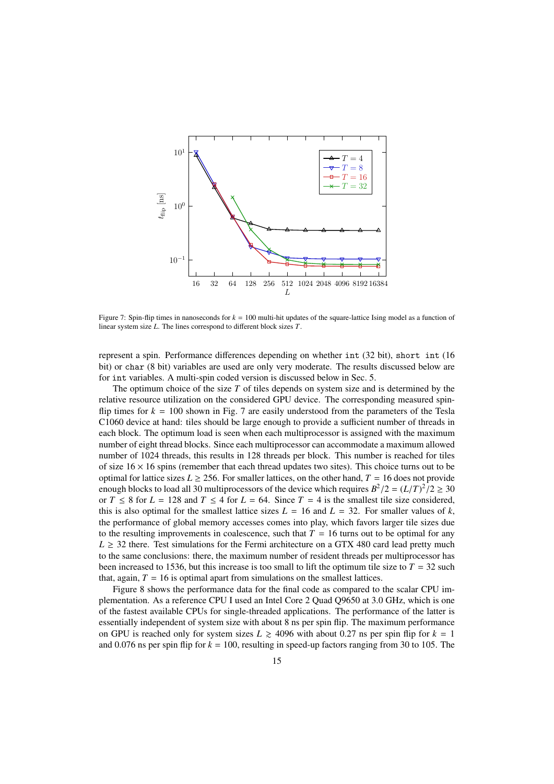

Figure 7: Spin-flip times in nanoseconds for  $k = 100$  multi-hit updates of the square-lattice Ising model as a function of linear system size *L*. The lines correspond to different block sizes *T*.

represent a spin. Performance differences depending on whether int (32 bit), short int (16 bit) or char (8 bit) variables are used are only very moderate. The results discussed below are for int variables. A multi-spin coded version is discussed below in Sec. 5.

The optimum choice of the size *T* of tiles depends on system size and is determined by the relative resource utilization on the considered GPU device. The corresponding measured spinflip times for  $k = 100$  shown in Fig. 7 are easily understood from the parameters of the Tesla C1060 device at hand: tiles should be large enough to provide a sufficient number of threads in each block. The optimum load is seen when each multiprocessor is assigned with the maximum number of eight thread blocks. Since each multiprocessor can accommodate a maximum allowed number of 1024 threads, this results in 128 threads per block. This number is reached for tiles of size  $16 \times 16$  spins (remember that each thread updates two sites). This choice turns out to be optimal for lattice sizes  $L \ge 256$ . For smaller lattices, on the other hand,  $T = 16$  does not provide enough blocks to load all 30 multiprocessors of the device which requires  $B^2/2 = (L/T)^2/2 \ge 30$ <br>or  $T < 8$  for  $I = 128$  and  $T < 4$  for  $I = 64$ . Since  $T = 4$  is the smallest tile size considered or  $T \le 8$  for  $L = 128$  and  $T \le 4$  for  $L = 64$ . Since  $T = 4$  is the smallest tile size considered, this is also optimal for the smallest lattice sizes  $L = 16$  and  $L = 32$ . For smaller values of *k*, the performance of global memory accesses comes into play, which favors larger tile sizes due to the resulting improvements in coalescence, such that  $T = 16$  turns out to be optimal for any  $L \geq 32$  there. Test simulations for the Fermi architecture on a GTX 480 card lead pretty much to the same conclusions: there, the maximum number of resident threads per multiprocessor has been increased to 1536, but this increase is too small to lift the optimum tile size to  $T = 32$  such that, again,  $T = 16$  is optimal apart from simulations on the smallest lattices.

Figure 8 shows the performance data for the final code as compared to the scalar CPU implementation. As a reference CPU I used an Intel Core 2 Quad Q9650 at 3.0 GHz, which is one of the fastest available CPUs for single-threaded applications. The performance of the latter is essentially independent of system size with about 8 ns per spin flip. The maximum performance on GPU is reached only for system sizes  $L \ge 4096$  with about 0.27 ns per spin flip for  $k = 1$ and 0.076 ns per spin flip for  $k = 100$ , resulting in speed-up factors ranging from 30 to 105. The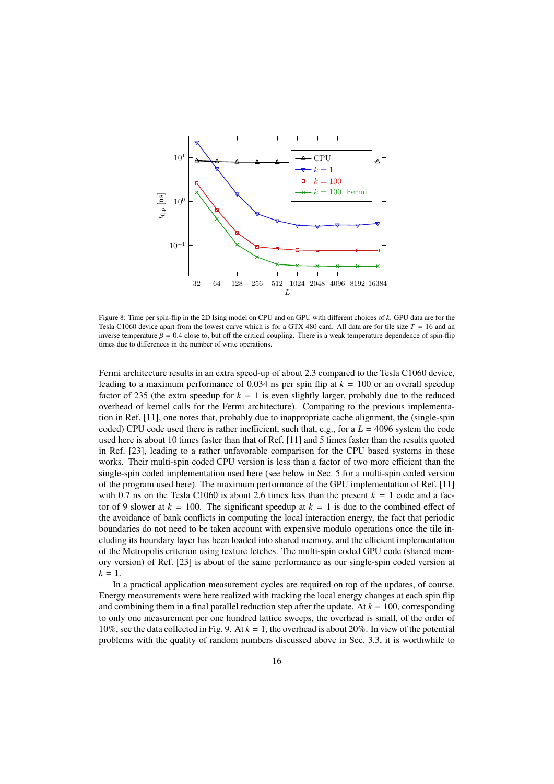

Figure 8: Time per spin-flip in the 2D Ising model on CPU and on GPU with different choices of *k*. GPU data are for the Tesla C1060 device apart from the lowest curve which is for a GTX 480 card. All data are for tile size  $T = 16$  and an inverse temperature  $\beta$  = 0.4 close to, but off the critical coupling. There is a weak temperature dependence of spin-flip times due to differences in the number of write operations.

Fermi architecture results in an extra speed-up of about 2.3 compared to the Tesla C1060 device, leading to a maximum performance of  $0.034$  ns per spin flip at  $k = 100$  or an overall speedup factor of 235 (the extra speedup for  $k = 1$  is even slightly larger, probably due to the reduced overhead of kernel calls for the Fermi architecture). Comparing to the previous implementation in Ref. [11], one notes that, probably due to inappropriate cache alignment, the (single-spin coded) CPU code used there is rather inefficient, such that, e.g., for a  $L = 4096$  system the code used here is about 10 times faster than that of Ref. [11] and 5 times faster than the results quoted in Ref. [23], leading to a rather unfavorable comparison for the CPU based systems in these works. Their multi-spin coded CPU version is less than a factor of two more efficient than the single-spin coded implementation used here (see below in Sec. 5 for a multi-spin coded version of the program used here). The maximum performance of the GPU implementation of Ref. [11] with 0.7 ns on the Tesla C1060 is about 2.6 times less than the present  $k = 1$  code and a factor of 9 slower at  $k = 100$ . The significant speedup at  $k = 1$  is due to the combined effect of the avoidance of bank conflicts in computing the local interaction energy, the fact that periodic boundaries do not need to be taken account with expensive modulo operations once the tile including its boundary layer has been loaded into shared memory, and the efficient implementation of the Metropolis criterion using texture fetches. The multi-spin coded GPU code (shared memory version) of Ref. [23] is about of the same performance as our single-spin coded version at  $k = 1$ .

In a practical application measurement cycles are required on top of the updates, of course. Energy measurements were here realized with tracking the local energy changes at each spin flip and combining them in a final parallel reduction step after the update. At  $k = 100$ , corresponding to only one measurement per one hundred lattice sweeps, the overhead is small, of the order of 10%, see the data collected in Fig. 9. At *k* = 1, the overhead is about 20%. In view of the potential problems with the quality of random numbers discussed above in Sec. 3.3, it is worthwhile to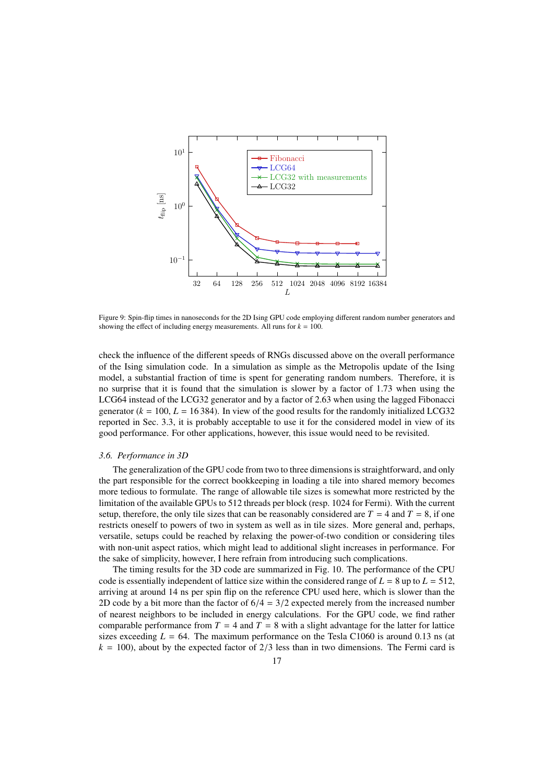

Figure 9: Spin-flip times in nanoseconds for the 2D Ising GPU code employing different random number generators and showing the effect of including energy measurements. All runs for  $k = 100$ .

check the influence of the different speeds of RNGs discussed above on the overall performance of the Ising simulation code. In a simulation as simple as the Metropolis update of the Ising model, a substantial fraction of time is spent for generating random numbers. Therefore, it is no surprise that it is found that the simulation is slower by a factor of 1.73 when using the LCG64 instead of the LCG32 generator and by a factor of 2.63 when using the lagged Fibonacci generator  $(k = 100, L = 16384)$ . In view of the good results for the randomly initialized LCG32 reported in Sec. 3.3, it is probably acceptable to use it for the considered model in view of its good performance. For other applications, however, this issue would need to be revisited.

### *3.6. Performance in 3D*

The generalization of the GPU code from two to three dimensions is straightforward, and only the part responsible for the correct bookkeeping in loading a tile into shared memory becomes more tedious to formulate. The range of allowable tile sizes is somewhat more restricted by the limitation of the available GPUs to 512 threads per block (resp. 1024 for Fermi). With the current setup, therefore, the only tile sizes that can be reasonably considered are  $T = 4$  and  $T = 8$ , if one restricts oneself to powers of two in system as well as in tile sizes. More general and, perhaps, versatile, setups could be reached by relaxing the power-of-two condition or considering tiles with non-unit aspect ratios, which might lead to additional slight increases in performance. For the sake of simplicity, however, I here refrain from introducing such complications.

The timing results for the 3D code are summarized in Fig. 10. The performance of the CPU code is essentially independent of lattice size within the considered range of  $L = 8$  up to  $L = 512$ , arriving at around 14 ns per spin flip on the reference CPU used here, which is slower than the 2D code by a bit more than the factor of  $6/4 = 3/2$  expected merely from the increased number of nearest neighbors to be included in energy calculations. For the GPU code, we find rather comparable performance from  $T = 4$  and  $T = 8$  with a slight advantage for the latter for lattice sizes exceeding  $L = 64$ . The maximum performance on the Tesla C1060 is around 0.13 ns (at  $k = 100$ ), about by the expected factor of 2/3 less than in two dimensions. The Fermi card is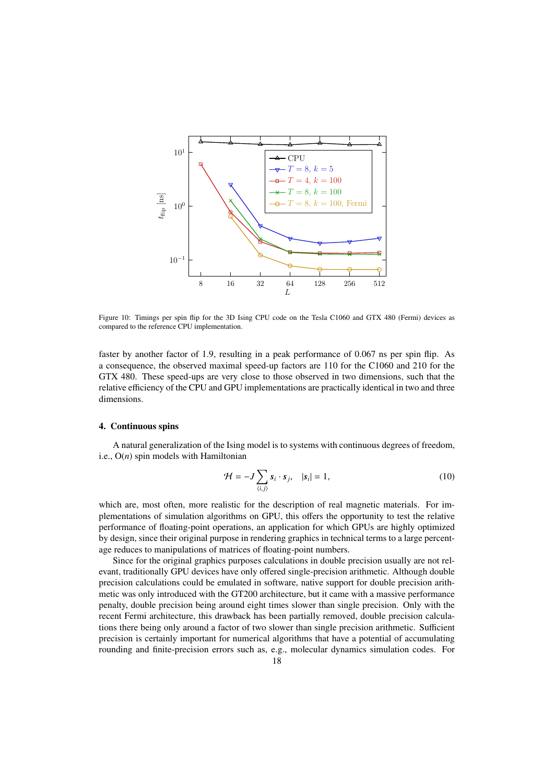

Figure 10: Timings per spin flip for the 3D Ising CPU code on the Tesla C1060 and GTX 480 (Fermi) devices as compared to the reference CPU implementation.

faster by another factor of 1.9, resulting in a peak performance of 0.067 ns per spin flip. As a consequence, the observed maximal speed-up factors are 110 for the C1060 and 210 for the GTX 480. These speed-ups are very close to those observed in two dimensions, such that the relative efficiency of the CPU and GPU implementations are practically identical in two and three dimensions.

# 4. Continuous spins

A natural generalization of the Ising model is to systems with continuous degrees of freedom, i.e., O(*n*) spin models with Hamiltonian

$$
\mathcal{H} = -J \sum_{\langle i,j \rangle} s_i \cdot s_j, \quad |s_i| = 1,
$$
\n(10)

which are, most often, more realistic for the description of real magnetic materials. For implementations of simulation algorithms on GPU, this offers the opportunity to test the relative performance of floating-point operations, an application for which GPUs are highly optimized by design, since their original purpose in rendering graphics in technical terms to a large percentage reduces to manipulations of matrices of floating-point numbers.

Since for the original graphics purposes calculations in double precision usually are not relevant, traditionally GPU devices have only offered single-precision arithmetic. Although double precision calculations could be emulated in software, native support for double precision arithmetic was only introduced with the GT200 architecture, but it came with a massive performance penalty, double precision being around eight times slower than single precision. Only with the recent Fermi architecture, this drawback has been partially removed, double precision calculations there being only around a factor of two slower than single precision arithmetic. Sufficient precision is certainly important for numerical algorithms that have a potential of accumulating rounding and finite-precision errors such as, e.g., molecular dynamics simulation codes. For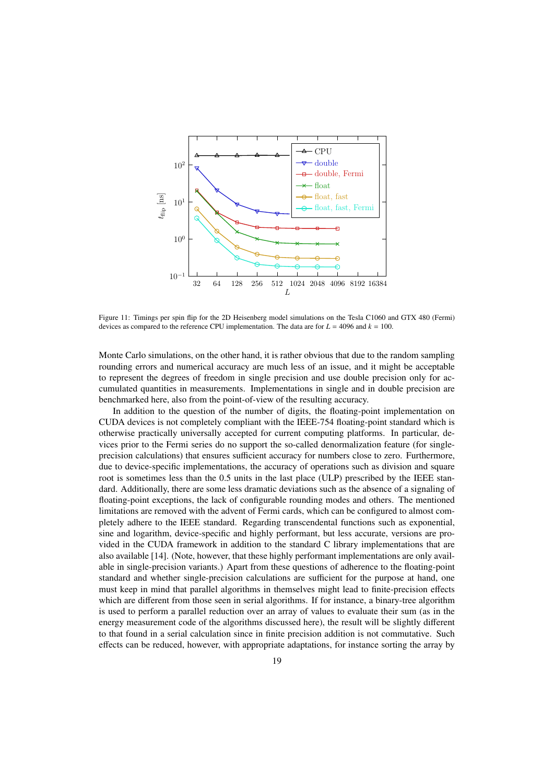

Figure 11: Timings per spin flip for the 2D Heisenberg model simulations on the Tesla C1060 and GTX 480 (Fermi) devices as compared to the reference CPU implementation. The data are for  $L = 4096$  and  $k = 100$ .

Monte Carlo simulations, on the other hand, it is rather obvious that due to the random sampling rounding errors and numerical accuracy are much less of an issue, and it might be acceptable to represent the degrees of freedom in single precision and use double precision only for accumulated quantities in measurements. Implementations in single and in double precision are benchmarked here, also from the point-of-view of the resulting accuracy.

In addition to the question of the number of digits, the floating-point implementation on CUDA devices is not completely compliant with the IEEE-754 floating-point standard which is otherwise practically universally accepted for current computing platforms. In particular, devices prior to the Fermi series do no support the so-called denormalization feature (for singleprecision calculations) that ensures sufficient accuracy for numbers close to zero. Furthermore, due to device-specific implementations, the accuracy of operations such as division and square root is sometimes less than the 0.5 units in the last place (ULP) prescribed by the IEEE standard. Additionally, there are some less dramatic deviations such as the absence of a signaling of floating-point exceptions, the lack of configurable rounding modes and others. The mentioned limitations are removed with the advent of Fermi cards, which can be configured to almost completely adhere to the IEEE standard. Regarding transcendental functions such as exponential, sine and logarithm, device-specific and highly performant, but less accurate, versions are provided in the CUDA framework in addition to the standard C library implementations that are also available [14]. (Note, however, that these highly performant implementations are only available in single-precision variants.) Apart from these questions of adherence to the floating-point standard and whether single-precision calculations are sufficient for the purpose at hand, one must keep in mind that parallel algorithms in themselves might lead to finite-precision effects which are different from those seen in serial algorithms. If for instance, a binary-tree algorithm is used to perform a parallel reduction over an array of values to evaluate their sum (as in the energy measurement code of the algorithms discussed here), the result will be slightly different to that found in a serial calculation since in finite precision addition is not commutative. Such effects can be reduced, however, with appropriate adaptations, for instance sorting the array by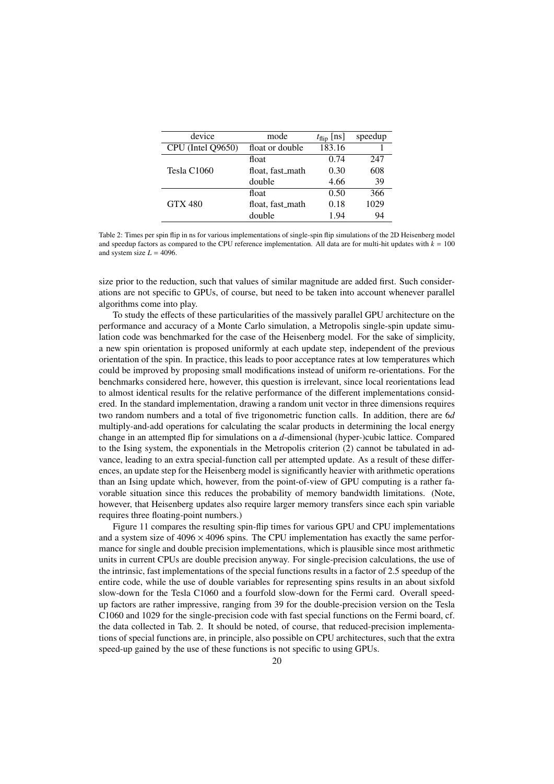| device                  | mode             | $t_{\text{flip}}$ [ns] | speedup |
|-------------------------|------------------|------------------------|---------|
| CPU (Intel Q9650)       | float or double  | 183.16                 |         |
|                         | float            | 0.74                   | 247     |
| Tesla C <sub>1060</sub> | float, fast_math | 0.30                   | 608     |
|                         | double           | 4.66                   | 39      |
|                         | float            | 0.50                   | 366     |
| <b>GTX 480</b>          | float, fast_math | 0.18                   | 1029    |
|                         | double           | 1.94                   | 94      |
|                         |                  |                        |         |

Table 2: Times per spin flip in ns for various implementations of single-spin flip simulations of the 2D Heisenberg model and speedup factors as compared to the CPU reference implementation. All data are for multi-hit updates with  $k = 100$ and system size  $L = 4096$ .

size prior to the reduction, such that values of similar magnitude are added first. Such considerations are not specific to GPUs, of course, but need to be taken into account whenever parallel algorithms come into play.

To study the effects of these particularities of the massively parallel GPU architecture on the performance and accuracy of a Monte Carlo simulation, a Metropolis single-spin update simulation code was benchmarked for the case of the Heisenberg model. For the sake of simplicity, a new spin orientation is proposed uniformly at each update step, independent of the previous orientation of the spin. In practice, this leads to poor acceptance rates at low temperatures which could be improved by proposing small modifications instead of uniform re-orientations. For the benchmarks considered here, however, this question is irrelevant, since local reorientations lead to almost identical results for the relative performance of the different implementations considered. In the standard implementation, drawing a random unit vector in three dimensions requires two random numbers and a total of five trigonometric function calls. In addition, there are 6*d* multiply-and-add operations for calculating the scalar products in determining the local energy change in an attempted flip for simulations on a *d*-dimensional (hyper-)cubic lattice. Compared to the Ising system, the exponentials in the Metropolis criterion (2) cannot be tabulated in advance, leading to an extra special-function call per attempted update. As a result of these differences, an update step for the Heisenberg model is significantly heavier with arithmetic operations than an Ising update which, however, from the point-of-view of GPU computing is a rather favorable situation since this reduces the probability of memory bandwidth limitations. (Note, however, that Heisenberg updates also require larger memory transfers since each spin variable requires three floating-point numbers.)

Figure 11 compares the resulting spin-flip times for various GPU and CPU implementations and a system size of  $4096 \times 4096$  spins. The CPU implementation has exactly the same performance for single and double precision implementations, which is plausible since most arithmetic units in current CPUs are double precision anyway. For single-precision calculations, the use of the intrinsic, fast implementations of the special functions results in a factor of 2.5 speedup of the entire code, while the use of double variables for representing spins results in an about sixfold slow-down for the Tesla C1060 and a fourfold slow-down for the Fermi card. Overall speedup factors are rather impressive, ranging from 39 for the double-precision version on the Tesla C1060 and 1029 for the single-precision code with fast special functions on the Fermi board, cf. the data collected in Tab. 2. It should be noted, of course, that reduced-precision implementations of special functions are, in principle, also possible on CPU architectures, such that the extra speed-up gained by the use of these functions is not specific to using GPUs.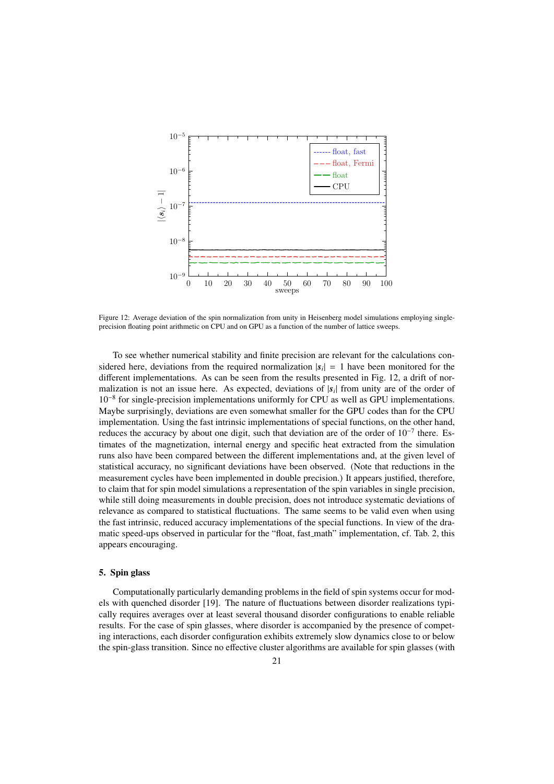

Figure 12: Average deviation of the spin normalization from unity in Heisenberg model simulations employing singleprecision floating point arithmetic on CPU and on GPU as a function of the number of lattice sweeps.

To see whether numerical stability and finite precision are relevant for the calculations considered here, deviations from the required normalization  $|s_i| = 1$  have been monitored for the different implementations. As can be seen from the results presented in Fig. 12, a drift of normalization is not an issue here. As expected, deviations of  $|s_i|$  from unity are of the order of 10<sup>−</sup><sup>8</sup> for single-precision implementations uniformly for CPU as well as GPU implementations. Maybe surprisingly, deviations are even somewhat smaller for the GPU codes than for the CPU implementation. Using the fast intrinsic implementations of special functions, on the other hand, reduces the accuracy by about one digit, such that deviation are of the order of  $10^{-7}$  there. Estimates of the magnetization, internal energy and specific heat extracted from the simulation runs also have been compared between the different implementations and, at the given level of statistical accuracy, no significant deviations have been observed. (Note that reductions in the measurement cycles have been implemented in double precision.) It appears justified, therefore, to claim that for spin model simulations a representation of the spin variables in single precision, while still doing measurements in double precision, does not introduce systematic deviations of relevance as compared to statistical fluctuations. The same seems to be valid even when using the fast intrinsic, reduced accuracy implementations of the special functions. In view of the dramatic speed-ups observed in particular for the "float, fast math" implementation, cf. Tab. 2, this appears encouraging.

# 5. Spin glass

Computationally particularly demanding problems in the field of spin systems occur for models with quenched disorder [19]. The nature of fluctuations between disorder realizations typically requires averages over at least several thousand disorder configurations to enable reliable results. For the case of spin glasses, where disorder is accompanied by the presence of competing interactions, each disorder configuration exhibits extremely slow dynamics close to or below the spin-glass transition. Since no effective cluster algorithms are available for spin glasses (with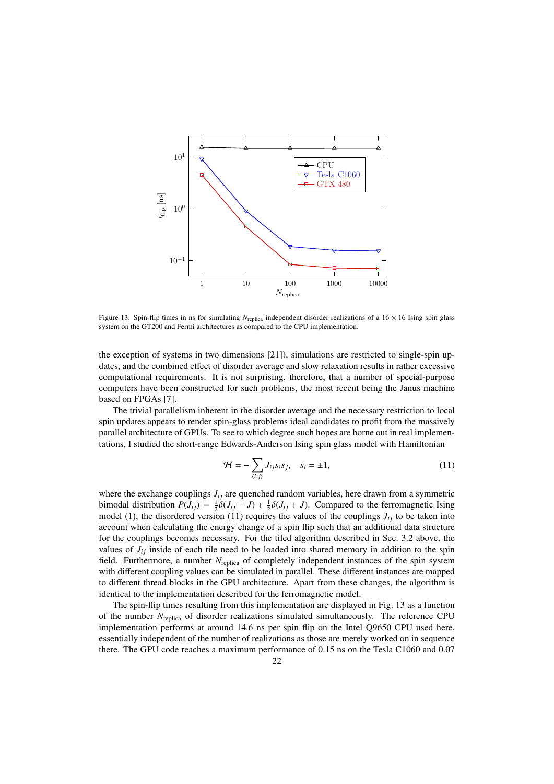

Figure 13: Spin-flip times in ns for simulating  $N_{\text{replica}}$  independent disorder realizations of a 16 × 16 Ising spin glass system on the GT200 and Fermi architectures as compared to the CPU implementation.

the exception of systems in two dimensions [21]), simulations are restricted to single-spin updates, and the combined effect of disorder average and slow relaxation results in rather excessive computational requirements. It is not surprising, therefore, that a number of special-purpose computers have been constructed for such problems, the most recent being the Janus machine based on FPGAs [7].

The trivial parallelism inherent in the disorder average and the necessary restriction to local spin updates appears to render spin-glass problems ideal candidates to profit from the massively parallel architecture of GPUs. To see to which degree such hopes are borne out in real implementations, I studied the short-range Edwards-Anderson Ising spin glass model with Hamiltonian

$$
\mathcal{H} = -\sum_{\langle i,j \rangle} J_{ij} s_i s_j, \quad s_i = \pm 1,
$$
\n(11)

where the exchange couplings  $J_{ij}$  are quenched random variables, here drawn from a symmetric bimodal distribution  $P(J_{ij}) = \frac{1}{2}\delta(J_{ij} - J) + \frac{1}{2}\delta(J_{ij} + J)$ . Compared to the ferromagnetic Ising model (1) the disordered version (11) requires the values of the countings *L*, to be taken into model (1), the disordered version (11) requires the values of the couplings  $J_{ii}$  to be taken into account when calculating the energy change of a spin flip such that an additional data structure for the couplings becomes necessary. For the tiled algorithm described in Sec. 3.2 above, the values of  $J_{ij}$  inside of each tile need to be loaded into shared memory in addition to the spin field. Furthermore, a number  $N_{\text{reolica}}$  of completely independent instances of the spin system with different coupling values can be simulated in parallel. These different instances are mapped to different thread blocks in the GPU architecture. Apart from these changes, the algorithm is identical to the implementation described for the ferromagnetic model.

The spin-flip times resulting from this implementation are displayed in Fig. 13 as a function of the number *N*replica of disorder realizations simulated simultaneously. The reference CPU implementation performs at around 14.6 ns per spin flip on the Intel Q9650 CPU used here, essentially independent of the number of realizations as those are merely worked on in sequence there. The GPU code reaches a maximum performance of 0.15 ns on the Tesla C1060 and 0.<sup>07</sup>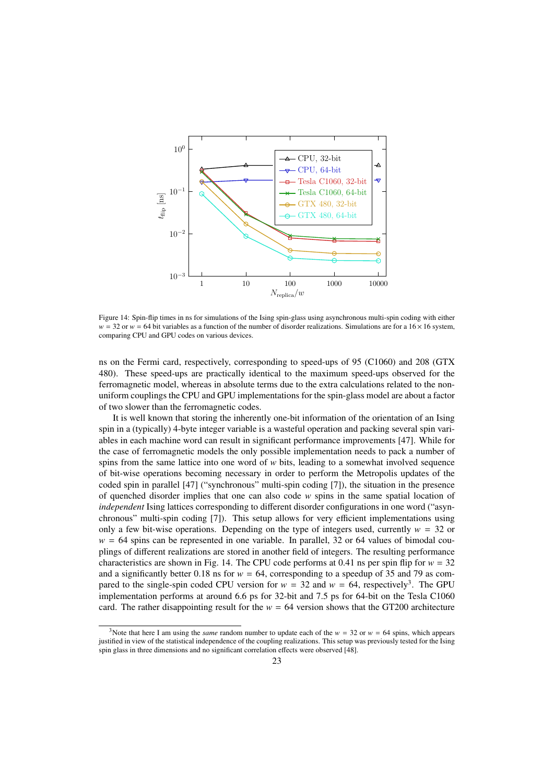

Figure 14: Spin-flip times in ns for simulations of the Ising spin-glass using asynchronous multi-spin coding with either  $w = 32$  or  $w = 64$  bit variables as a function of the number of disorder realizations. Simulations are for a  $16 \times 16$  system, comparing CPU and GPU codes on various devices.

ns on the Fermi card, respectively, corresponding to speed-ups of 95 (C1060) and 208 (GTX 480). These speed-ups are practically identical to the maximum speed-ups observed for the ferromagnetic model, whereas in absolute terms due to the extra calculations related to the nonuniform couplings the CPU and GPU implementations for the spin-glass model are about a factor of two slower than the ferromagnetic codes.

It is well known that storing the inherently one-bit information of the orientation of an Ising spin in a (typically) 4-byte integer variable is a wasteful operation and packing several spin variables in each machine word can result in significant performance improvements [47]. While for the case of ferromagnetic models the only possible implementation needs to pack a number of spins from the same lattice into one word of *w* bits, leading to a somewhat involved sequence of bit-wise operations becoming necessary in order to perform the Metropolis updates of the coded spin in parallel [47] ("synchronous" multi-spin coding [7]), the situation in the presence of quenched disorder implies that one can also code  $w$  spins in the same spatial location of *independent* Ising lattices corresponding to different disorder configurations in one word ("asynchronous" multi-spin coding [7]). This setup allows for very efficient implementations using only a few bit-wise operations. Depending on the type of integers used, currently  $w = 32$  or  $w = 64$  spins can be represented in one variable. In parallel, 32 or 64 values of bimodal couplings of different realizations are stored in another field of integers. The resulting performance characteristics are shown in Fig. 14. The CPU code performs at 0.41 ns per spin flip for  $w = 32$ and a significantly better 0.18 ns for  $w = 64$ , corresponding to a speedup of 35 and 79 as compared to the single-spin coded CPU version for  $w = 32$  and  $w = 64$ , respectively<sup>3</sup>. The GPU implementation performs at around 6.6 ps for 32-bit and 7.5 ps for 64-bit on the Tesla C1060 card. The rather disappointing result for the  $w = 64$  version shows that the GT200 architecture

<sup>&</sup>lt;sup>3</sup>Note that here I am using the *same* random number to update each of the  $w = 32$  or  $w = 64$  spins, which appears justified in view of the statistical independence of the coupling realizations. This setup was previously tested for the Ising spin glass in three dimensions and no significant correlation effects were observed [48].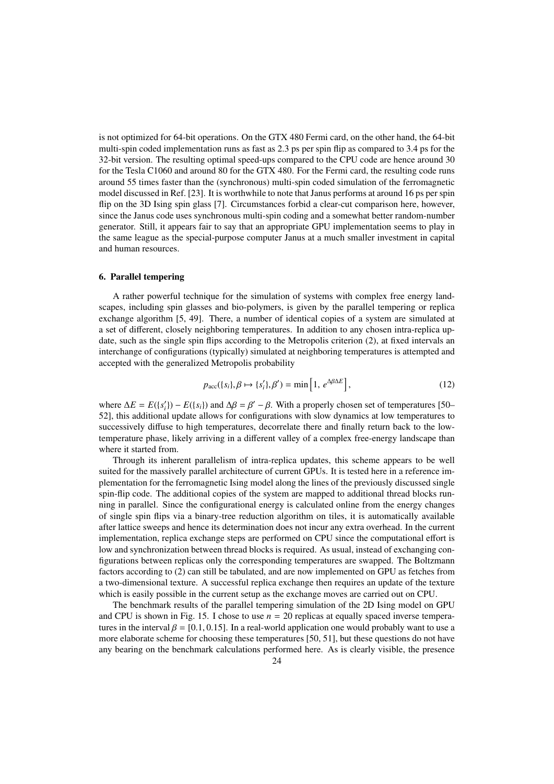is not optimized for 64-bit operations. On the GTX 480 Fermi card, on the other hand, the 64-bit multi-spin coded implementation runs as fast as 2.3 ps per spin flip as compared to 3.4 ps for the 32-bit version. The resulting optimal speed-ups compared to the CPU code are hence around 30 for the Tesla C1060 and around 80 for the GTX 480. For the Fermi card, the resulting code runs around 55 times faster than the (synchronous) multi-spin coded simulation of the ferromagnetic model discussed in Ref. [23]. It is worthwhile to note that Janus performs at around 16 ps per spin flip on the 3D Ising spin glass [7]. Circumstances forbid a clear-cut comparison here, however, since the Janus code uses synchronous multi-spin coding and a somewhat better random-number generator. Still, it appears fair to say that an appropriate GPU implementation seems to play in the same league as the special-purpose computer Janus at a much smaller investment in capital and human resources.

# 6. Parallel tempering

A rather powerful technique for the simulation of systems with complex free energy landscapes, including spin glasses and bio-polymers, is given by the parallel tempering or replica exchange algorithm [5, 49]. There, a number of identical copies of a system are simulated at a set of different, closely neighboring temperatures. In addition to any chosen intra-replica update, such as the single spin flips according to the Metropolis criterion (2), at fixed intervals an interchange of configurations (typically) simulated at neighboring temperatures is attempted and accepted with the generalized Metropolis probability

$$
p_{\rm acc}(\{s_i\}, \beta \mapsto \{s'_i\}, \beta') = \min\left[1, e^{\Delta \beta \Delta E}\right],\tag{12}
$$

where  $\Delta E = E({s_i'}) - E({s_i})$  and  $\Delta \beta = \beta' - \beta$ . With a properly chosen set of temperatures [50–52] this additional undate allows for configurations with slow dynamics at low temperatures to 52], this additional update allows for configurations with slow dynamics at low temperatures to successively diffuse to high temperatures, decorrelate there and finally return back to the lowtemperature phase, likely arriving in a different valley of a complex free-energy landscape than where it started from.

Through its inherent parallelism of intra-replica updates, this scheme appears to be well suited for the massively parallel architecture of current GPUs. It is tested here in a reference implementation for the ferromagnetic Ising model along the lines of the previously discussed single spin-flip code. The additional copies of the system are mapped to additional thread blocks running in parallel. Since the configurational energy is calculated online from the energy changes of single spin flips via a binary-tree reduction algorithm on tiles, it is automatically available after lattice sweeps and hence its determination does not incur any extra overhead. In the current implementation, replica exchange steps are performed on CPU since the computational effort is low and synchronization between thread blocks is required. As usual, instead of exchanging configurations between replicas only the corresponding temperatures are swapped. The Boltzmann factors according to (2) can still be tabulated, and are now implemented on GPU as fetches from a two-dimensional texture. A successful replica exchange then requires an update of the texture which is easily possible in the current setup as the exchange moves are carried out on CPU.

The benchmark results of the parallel tempering simulation of the 2D Ising model on GPU and CPU is shown in Fig. 15. I chose to use  $n = 20$  replicas at equally spaced inverse temperatures in the interval  $\beta = [0.1, 0.15]$ . In a real-world application one would probably want to use a more elaborate scheme for choosing these temperatures [50, 51], but these questions do not have any bearing on the benchmark calculations performed here. As is clearly visible, the presence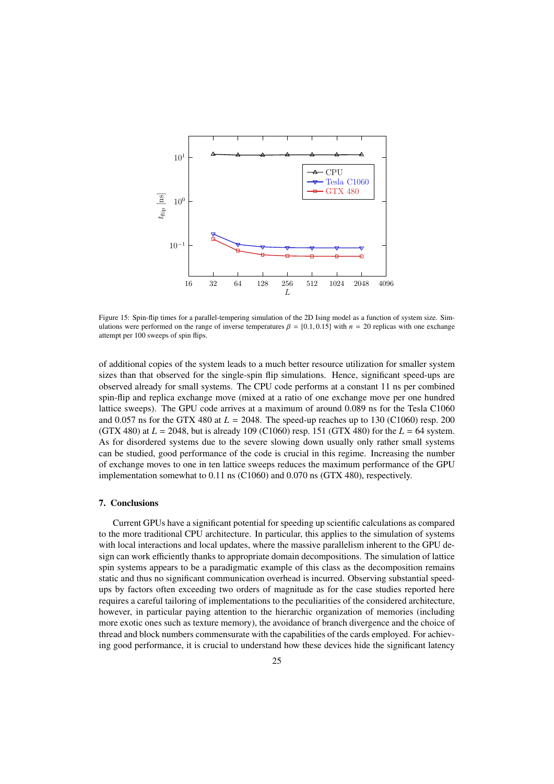

Figure 15: Spin-flip times for a parallel-tempering simulation of the 2D Ising model as a function of system size. Simulations were performed on the range of inverse temperatures  $\beta = [0.1, 0.15]$  with  $n = 20$  replicas with one exchange attempt per 100 sweeps of spin flips.

of additional copies of the system leads to a much better resource utilization for smaller system sizes than that observed for the single-spin flip simulations. Hence, significant speed-ups are observed already for small systems. The CPU code performs at a constant 11 ns per combined spin-flip and replica exchange move (mixed at a ratio of one exchange move per one hundred lattice sweeps). The GPU code arrives at a maximum of around 0.089 ns for the Tesla C1060 and 0.057 ns for the GTX 480 at  $L = 2048$ . The speed-up reaches up to 130 (C1060) resp. 200 (GTX 480) at *L* = 2048, but is already 109 (C1060) resp. 151 (GTX 480) for the *L* = 64 system. As for disordered systems due to the severe slowing down usually only rather small systems can be studied, good performance of the code is crucial in this regime. Increasing the number of exchange moves to one in ten lattice sweeps reduces the maximum performance of the GPU implementation somewhat to 0.11 ns (C1060) and 0.070 ns (GTX 480), respectively.

# 7. Conclusions

Current GPUs have a significant potential for speeding up scientific calculations as compared to the more traditional CPU architecture. In particular, this applies to the simulation of systems with local interactions and local updates, where the massive parallelism inherent to the GPU design can work efficiently thanks to appropriate domain decompositions. The simulation of lattice spin systems appears to be a paradigmatic example of this class as the decomposition remains static and thus no significant communication overhead is incurred. Observing substantial speedups by factors often exceeding two orders of magnitude as for the case studies reported here requires a careful tailoring of implementations to the peculiarities of the considered architecture, however, in particular paying attention to the hierarchic organization of memories (including more exotic ones such as texture memory), the avoidance of branch divergence and the choice of thread and block numbers commensurate with the capabilities of the cards employed. For achieving good performance, it is crucial to understand how these devices hide the significant latency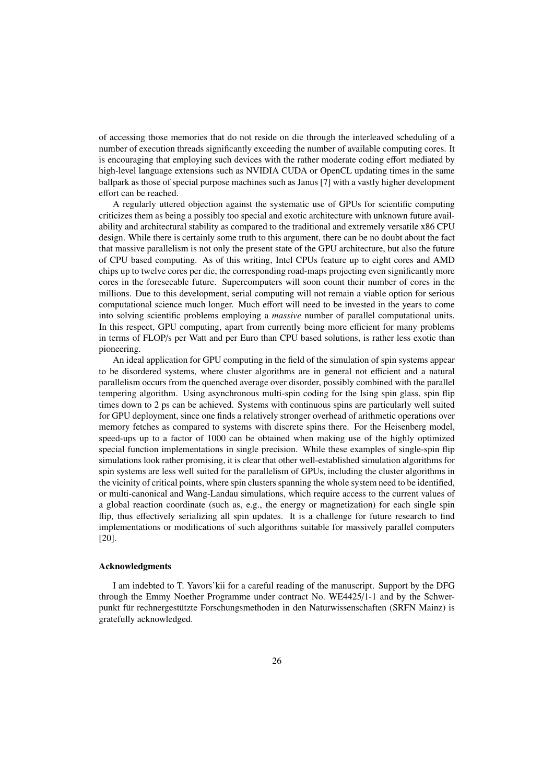of accessing those memories that do not reside on die through the interleaved scheduling of a number of execution threads significantly exceeding the number of available computing cores. It is encouraging that employing such devices with the rather moderate coding effort mediated by high-level language extensions such as NVIDIA CUDA or OpenCL updating times in the same ballpark as those of special purpose machines such as Janus [7] with a vastly higher development effort can be reached.

A regularly uttered objection against the systematic use of GPUs for scientific computing criticizes them as being a possibly too special and exotic architecture with unknown future availability and architectural stability as compared to the traditional and extremely versatile x86 CPU design. While there is certainly some truth to this argument, there can be no doubt about the fact that massive parallelism is not only the present state of the GPU architecture, but also the future of CPU based computing. As of this writing, Intel CPUs feature up to eight cores and AMD chips up to twelve cores per die, the corresponding road-maps projecting even significantly more cores in the foreseeable future. Supercomputers will soon count their number of cores in the millions. Due to this development, serial computing will not remain a viable option for serious computational science much longer. Much effort will need to be invested in the years to come into solving scientific problems employing a *massive* number of parallel computational units. In this respect, GPU computing, apart from currently being more efficient for many problems in terms of FLOP/s per Watt and per Euro than CPU based solutions, is rather less exotic than pioneering.

An ideal application for GPU computing in the field of the simulation of spin systems appear to be disordered systems, where cluster algorithms are in general not efficient and a natural parallelism occurs from the quenched average over disorder, possibly combined with the parallel tempering algorithm. Using asynchronous multi-spin coding for the Ising spin glass, spin flip times down to 2 ps can be achieved. Systems with continuous spins are particularly well suited for GPU deployment, since one finds a relatively stronger overhead of arithmetic operations over memory fetches as compared to systems with discrete spins there. For the Heisenberg model, speed-ups up to a factor of 1000 can be obtained when making use of the highly optimized special function implementations in single precision. While these examples of single-spin flip simulations look rather promising, it is clear that other well-established simulation algorithms for spin systems are less well suited for the parallelism of GPUs, including the cluster algorithms in the vicinity of critical points, where spin clusters spanning the whole system need to be identified, or multi-canonical and Wang-Landau simulations, which require access to the current values of a global reaction coordinate (such as, e.g., the energy or magnetization) for each single spin flip, thus effectively serializing all spin updates. It is a challenge for future research to find implementations or modifications of such algorithms suitable for massively parallel computers [20].

### Acknowledgments

I am indebted to T. Yavors'kii for a careful reading of the manuscript. Support by the DFG through the Emmy Noether Programme under contract No. WE4425/1-1 and by the Schwerpunkt für rechnergestützte Forschungsmethoden in den Naturwissenschaften (SRFN Mainz) is gratefully acknowledged.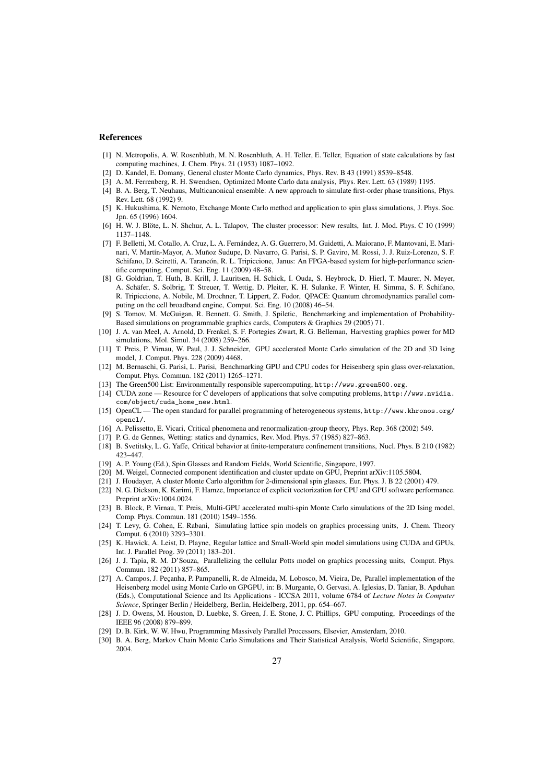#### References

- [1] N. Metropolis, A. W. Rosenbluth, M. N. Rosenbluth, A. H. Teller, E. Teller, Equation of state calculations by fast computing machines, J. Chem. Phys. 21 (1953) 1087–1092.
- [2] D. Kandel, E. Domany, General cluster Monte Carlo dynamics, Phys. Rev. B 43 (1991) 8539–8548.
- [3] A. M. Ferrenberg, R. H. Swendsen, Optimized Monte Carlo data analysis, Phys. Rev. Lett. 63 (1989) 1195.
- [4] B. A. Berg, T. Neuhaus, Multicanonical ensemble: A new approach to simulate first-order phase transitions, Phys. Rev. Lett. 68 (1992) 9.
- [5] K. Hukushima, K. Nemoto, Exchange Monte Carlo method and application to spin glass simulations, J. Phys. Soc. Jpn. 65 (1996) 1604.
- [6] H. W. J. Blöte, L. N. Shchur, A. L. Talapov, The cluster processor: New results, Int. J. Mod. Phys. C 10 (1999) 1137–1148.
- [7] F. Belletti, M. Cotallo, A. Cruz, L. A. Fernandez, A. G. Guerrero, M. Guidetti, A. Maiorano, F. Mantovani, E. Mari- ´ nari, V. Martín-Mayor, A. Muñoz Sudupe, D. Navarro, G. Parisi, S. P. Gaviro, M. Rossi, J. J. Ruiz-Lorenzo, S. F. Schifano, D. Sciretti, A. Tarancón, R. L. Tripiccione, Janus: An FPGA-based system for high-performance scientific computing, Comput. Sci. Eng. 11 (2009) 48–58.
- [8] G. Goldrian, T. Huth, B. Krill, J. Lauritsen, H. Schick, I. Ouda, S. Heybrock, D. Hierl, T. Maurer, N. Meyer, A. Schäfer, S. Solbrig, T. Streuer, T. Wettig, D. Pleiter, K. H. Sulanke, F. Winter, H. Simma, S. F. Schifano, R. Tripiccione, A. Nobile, M. Drochner, T. Lippert, Z. Fodor, QPACE: Quantum chromodynamics parallel computing on the cell broadband engine, Comput. Sci. Eng. 10 (2008) 46–54.
- [9] S. Tomov, M. McGuigan, R. Bennett, G. Smith, J. Spiletic, Benchmarking and implementation of Probability-Based simulations on programmable graphics cards, Computers & Graphics 29 (2005) 71.
- [10] J. A. van Meel, A. Arnold, D. Frenkel, S. F. Portegies Zwart, R. G. Belleman, Harvesting graphics power for MD simulations, Mol. Simul. 34 (2008) 259–266.
- [11] T. Preis, P. Virnau, W. Paul, J. J. Schneider, GPU accelerated Monte Carlo simulation of the 2D and 3D Ising model, J. Comput. Phys. 228 (2009) 4468.
- [12] M. Bernaschi, G. Parisi, L. Parisi, Benchmarking GPU and CPU codes for Heisenberg spin glass over-relaxation, Comput. Phys. Commun. 182 (2011) 1265–1271.
- [13] The Green500 List: Environmentally responsible supercomputing, http://www.green500.org.
- [14] CUDA zone Resource for C developers of applications that solve computing problems, http://www.nvidia. com/object/cuda\_home\_new.html.
- [15] OpenCL The open standard for parallel programming of heterogeneous systems, http://www.khronos.org/ opencl/.
- [16] A. Pelissetto, E. Vicari, Critical phenomena and renormalization-group theory, Phys. Rep. 368 (2002) 549.
- [17] P. G. de Gennes, Wetting: statics and dynamics, Rev. Mod. Phys. 57 (1985) 827-863.
- [18] B. Svetitsky, L. G. Yaffe, Critical behavior at finite-temperature confinement transitions, Nucl. Phys. B 210 (1982) 423–447.
- [19] A. P. Young (Ed.), Spin Glasses and Random Fields, World Scientific, Singapore, 1997.
- [20] M. Weigel, Connected component identification and cluster update on GPU, Preprint arXiv:1105.5804.
- [21] J. Houdayer, A cluster Monte Carlo algorithm for 2-dimensional spin glasses, Eur. Phys. J. B 22 (2001) 479.
- [22] N. G. Dickson, K. Karimi, F. Hamze, Importance of explicit vectorization for CPU and GPU software performance. Preprint arXiv:1004.0024.
- [23] B. Block, P. Virnau, T. Preis, Multi-GPU accelerated multi-spin Monte Carlo simulations of the 2D Ising model, Comp. Phys. Commun. 181 (2010) 1549–1556.
- [24] T. Levy, G. Cohen, E. Rabani, Simulating lattice spin models on graphics processing units, J. Chem. Theory Comput. 6 (2010) 3293–3301.
- [25] K. Hawick, A. Leist, D. Playne, Regular lattice and Small-World spin model simulations using CUDA and GPUs, Int. J. Parallel Prog. 39 (2011) 183–201.
- [26] J. J. Tapia, R. M. D'Souza, Parallelizing the cellular Potts model on graphics processing units, Comput. Phys. Commun. 182 (2011) 857–865.
- [27] A. Campos, J. Pecanha, P. Pampanelli, R. de Almeida, M. Lobosco, M. Vieira, De, Parallel implementation of the Heisenberg model using Monte Carlo on GPGPU, in: B. Murgante, O. Gervasi, A. Iglesias, D. Taniar, B. Apduhan (Eds.), Computational Science and Its Applications - ICCSA 2011, volume 6784 of *Lecture Notes in Computer Science*, Springer Berlin / Heidelberg, Berlin, Heidelberg, 2011, pp. 654–667.
- [28] J. D. Owens, M. Houston, D. Luebke, S. Green, J. E. Stone, J. C. Phillips, GPU computing, Proceedings of the IEEE 96 (2008) 879–899.
- [29] D. B. Kirk, W. W. Hwu, Programming Massively Parallel Processors, Elsevier, Amsterdam, 2010.
- [30] B. A. Berg, Markov Chain Monte Carlo Simulations and Their Statistical Analysis, World Scientific, Singapore, 2004.